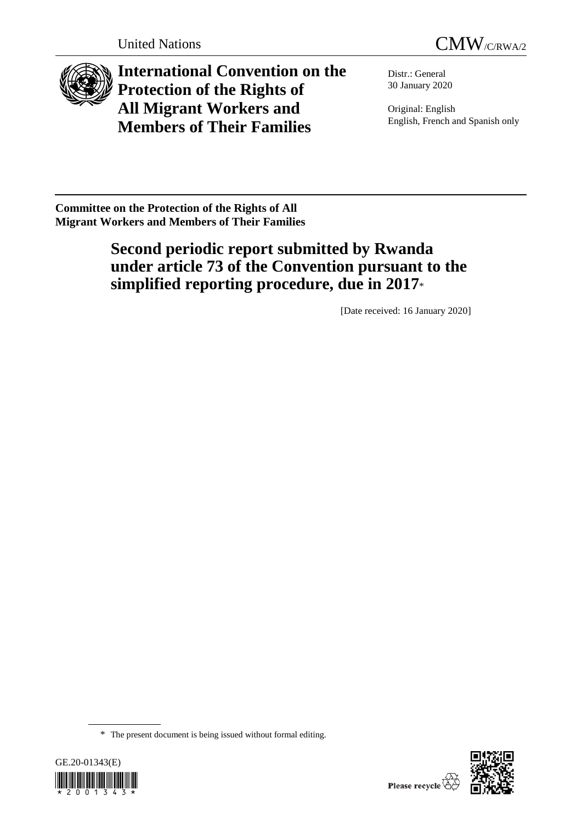



**International Convention on the Protection of the Rights of All Migrant Workers and Members of Their Families**

Distr.: General 30 January 2020

Original: English English, French and Spanish only

**Committee on the Protection of the Rights of All Migrant Workers and Members of Their Families**

# **Second periodic report submitted by Rwanda under article 73 of the Convention pursuant to the simplified reporting procedure, due in 2017**\*

[Date received: 16 January 2020]

<sup>\*</sup> The present document is being issued without formal editing.



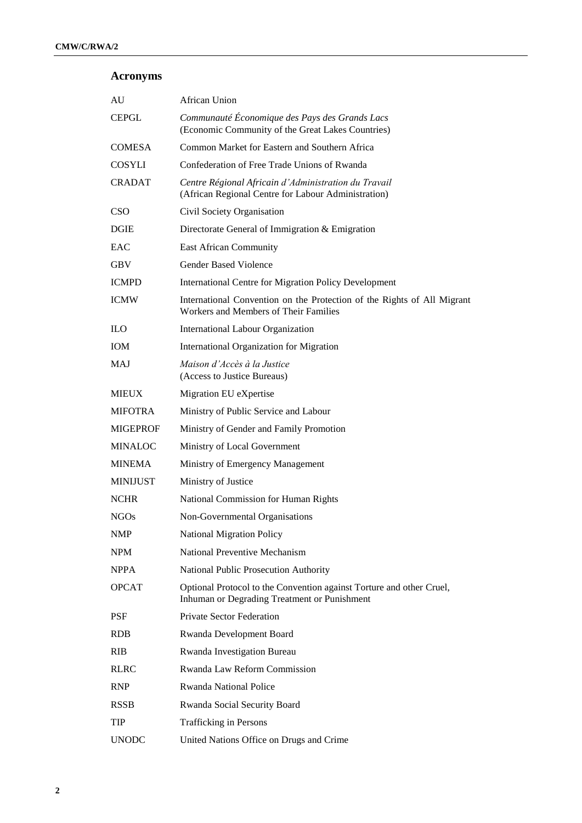# **Acronyms**

| AU              | African Union                                                                                                        |
|-----------------|----------------------------------------------------------------------------------------------------------------------|
| <b>CEPGL</b>    | Communauté Économique des Pays des Grands Lacs<br>(Economic Community of the Great Lakes Countries)                  |
| <b>COMESA</b>   | Common Market for Eastern and Southern Africa                                                                        |
| <b>COSYLI</b>   | Confederation of Free Trade Unions of Rwanda                                                                         |
| <b>CRADAT</b>   | Centre Régional Africain d'Administration du Travail<br>(African Regional Centre for Labour Administration)          |
| <b>CSO</b>      | Civil Society Organisation                                                                                           |
| <b>DGIE</b>     | Directorate General of Immigration & Emigration                                                                      |
| EAC             | East African Community                                                                                               |
| <b>GBV</b>      | <b>Gender Based Violence</b>                                                                                         |
| <b>ICMPD</b>    | <b>International Centre for Migration Policy Development</b>                                                         |
| <b>ICMW</b>     | International Convention on the Protection of the Rights of All Migrant<br>Workers and Members of Their Families     |
| ILO.            | International Labour Organization                                                                                    |
| <b>IOM</b>      | International Organization for Migration                                                                             |
| <b>MAJ</b>      | Maison d'Accès à la Justice<br>(Access to Justice Bureaus)                                                           |
| <b>MIEUX</b>    | Migration EU eXpertise                                                                                               |
| <b>MIFOTRA</b>  | Ministry of Public Service and Labour                                                                                |
| <b>MIGEPROF</b> | Ministry of Gender and Family Promotion                                                                              |
| <b>MINALOC</b>  | Ministry of Local Government                                                                                         |
| <b>MINEMA</b>   | Ministry of Emergency Management                                                                                     |
| <b>MINIJUST</b> | Ministry of Justice                                                                                                  |
| <b>NCHR</b>     | National Commission for Human Rights                                                                                 |
| <b>NGOs</b>     | Non-Governmental Organisations                                                                                       |
| <b>NMP</b>      | National Migration Policy                                                                                            |
| <b>NPM</b>      | <b>National Preventive Mechanism</b>                                                                                 |
| <b>NPPA</b>     | National Public Prosecution Authority                                                                                |
| <b>OPCAT</b>    | Optional Protocol to the Convention against Torture and other Cruel,<br>Inhuman or Degrading Treatment or Punishment |
| <b>PSF</b>      | <b>Private Sector Federation</b>                                                                                     |
| <b>RDB</b>      | Rwanda Development Board                                                                                             |
| <b>RIB</b>      | Rwanda Investigation Bureau                                                                                          |
| <b>RLRC</b>     | Rwanda Law Reform Commission                                                                                         |
| <b>RNP</b>      | <b>Rwanda National Police</b>                                                                                        |
| <b>RSSB</b>     | Rwanda Social Security Board                                                                                         |
| <b>TIP</b>      | Trafficking in Persons                                                                                               |
| <b>UNODC</b>    | United Nations Office on Drugs and Crime                                                                             |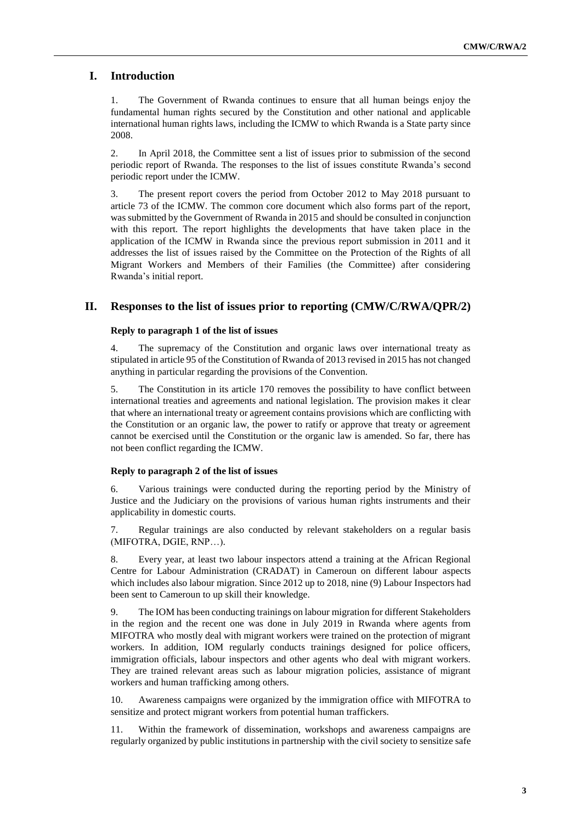# **I. Introduction**

1. The Government of Rwanda continues to ensure that all human beings enjoy the fundamental human rights secured by the Constitution and other national and applicable international human rights laws, including the ICMW to which Rwanda is a State party since 2008.

2. In April 2018, the Committee sent a list of issues prior to submission of the second periodic report of Rwanda. The responses to the list of issues constitute Rwanda's second periodic report under the ICMW.

3. The present report covers the period from October 2012 to May 2018 pursuant to article 73 of the ICMW. The common core document which also forms part of the report, was submitted by the Government of Rwanda in 2015 and should be consulted in conjunction with this report. The report highlights the developments that have taken place in the application of the ICMW in Rwanda since the previous report submission in 2011 and it addresses the list of issues raised by the Committee on the Protection of the Rights of all Migrant Workers and Members of their Families (the Committee) after considering Rwanda's initial report.

# **II. Responses to the list of issues prior to reporting (CMW/C/RWA/QPR/2)**

#### **Reply to paragraph 1 of the list of issues**

4. The supremacy of the Constitution and organic laws over international treaty as stipulated in article 95 of the Constitution of Rwanda of 2013 revised in 2015 has not changed anything in particular regarding the provisions of the Convention.

5. The Constitution in its article 170 removes the possibility to have conflict between international treaties and agreements and national legislation. The provision makes it clear that where an international treaty or agreement contains provisions which are conflicting with the Constitution or an organic law, the power to ratify or approve that treaty or agreement cannot be exercised until the Constitution or the organic law is amended. So far, there has not been conflict regarding the ICMW.

#### **Reply to paragraph 2 of the list of issues**

6. Various trainings were conducted during the reporting period by the Ministry of Justice and the Judiciary on the provisions of various human rights instruments and their applicability in domestic courts.

7. Regular trainings are also conducted by relevant stakeholders on a regular basis (MIFOTRA, DGIE, RNP…).

8. Every year, at least two labour inspectors attend a training at the African Regional Centre for Labour Administration (CRADAT) in Cameroun on different labour aspects which includes also labour migration. Since 2012 up to 2018, nine (9) Labour Inspectors had been sent to Cameroun to up skill their knowledge.

9. The IOM has been conducting trainings on labour migration for different Stakeholders in the region and the recent one was done in July 2019 in Rwanda where agents from MIFOTRA who mostly deal with migrant workers were trained on the protection of migrant workers. In addition, IOM regularly conducts trainings designed for police officers, immigration officials, labour inspectors and other agents who deal with migrant workers. They are trained relevant areas such as labour migration policies, assistance of migrant workers and human trafficking among others.

10. Awareness campaigns were organized by the immigration office with MIFOTRA to sensitize and protect migrant workers from potential human traffickers.

11. Within the framework of dissemination, workshops and awareness campaigns are regularly organized by public institutions in partnership with the civil society to sensitize safe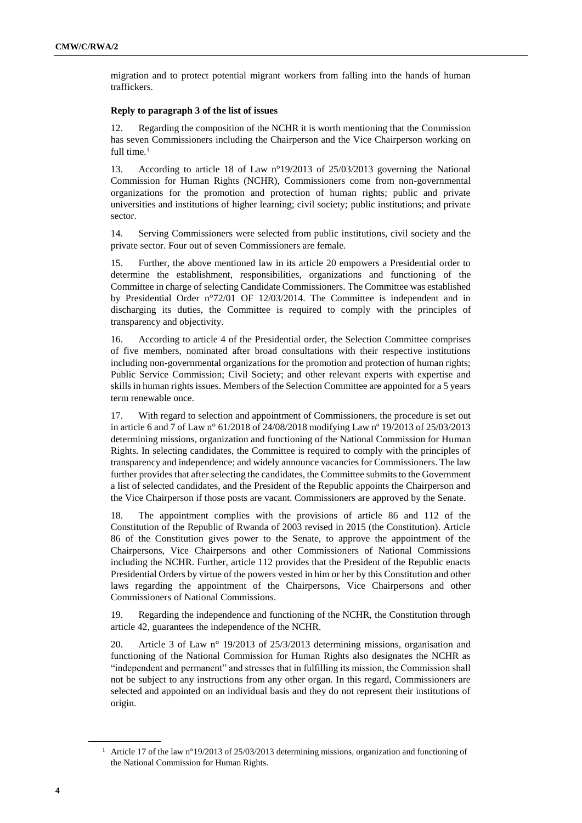migration and to protect potential migrant workers from falling into the hands of human traffickers.

# **Reply to paragraph 3 of the list of issues**

12. Regarding the composition of the NCHR it is worth mentioning that the Commission has seven Commissioners including the Chairperson and the Vice Chairperson working on full time. $<sup>1</sup>$ </sup>

13. According to article 18 of Law n°19/2013 of 25/03/2013 governing the National Commission for Human Rights (NCHR), Commissioners come from non-governmental organizations for the promotion and protection of human rights; public and private universities and institutions of higher learning; civil society; public institutions; and private sector.

14. Serving Commissioners were selected from public institutions, civil society and the private sector. Four out of seven Commissioners are female.

15. Further, the above mentioned law in its article 20 empowers a Presidential order to determine the establishment, responsibilities, organizations and functioning of the Committee in charge of selecting Candidate Commissioners. The Committee was established by Presidential Order n°72/01 OF 12/03/2014. The Committee is independent and in discharging its duties, the Committee is required to comply with the principles of transparency and objectivity.

16. According to article 4 of the Presidential order, the Selection Committee comprises of five members, nominated after broad consultations with their respective institutions including non-governmental organizations for the promotion and protection of human rights; Public Service Commission; Civil Society; and other relevant experts with expertise and skills in human rights issues. Members of the Selection Committee are appointed for a 5 years term renewable once.

17. With regard to selection and appointment of Commissioners, the procedure is set out in article 6 and 7 of Law n° 61/2018 of 24/08/2018 modifying Law nº 19/2013 of 25/03/2013 determining missions, organization and functioning of the National Commission for Human Rights. In selecting candidates, the Committee is required to comply with the principles of transparency and independence; and widely announce vacancies for Commissioners. The law further provides that after selecting the candidates, the Committee submits to the Government a list of selected candidates, and the President of the Republic appoints the Chairperson and the Vice Chairperson if those posts are vacant. Commissioners are approved by the Senate.

18. The appointment complies with the provisions of article 86 and 112 of the Constitution of the Republic of Rwanda of 2003 revised in 2015 (the Constitution). Article 86 of the Constitution gives power to the Senate, to approve the appointment of the Chairpersons, Vice Chairpersons and other Commissioners of National Commissions including the NCHR. Further, article 112 provides that the President of the Republic enacts Presidential Orders by virtue of the powers vested in him or her by this Constitution and other laws regarding the appointment of the Chairpersons, Vice Chairpersons and other Commissioners of National Commissions.

19. Regarding the independence and functioning of the NCHR, the Constitution through article 42, guarantees the independence of the NCHR.

20. Article 3 of Law n° 19/2013 of 25/3/2013 determining missions, organisation and functioning of the National Commission for Human Rights also designates the NCHR as "independent and permanent" and stresses that in fulfilling its mission, the Commission shall not be subject to any instructions from any other organ. In this regard, Commissioners are selected and appointed on an individual basis and they do not represent their institutions of origin.

<sup>&</sup>lt;sup>1</sup> Article 17 of the law n°19/2013 of 25/03/2013 determining missions, organization and functioning of the National Commission for Human Rights.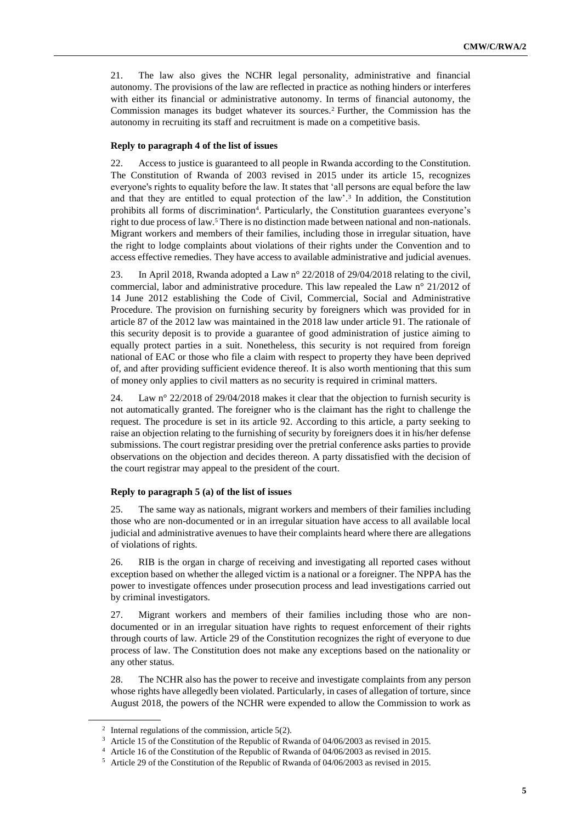21. The law also gives the NCHR legal personality, administrative and financial autonomy. The provisions of the law are reflected in practice as nothing hinders or interferes with either its financial or administrative autonomy. In terms of financial autonomy, the Commission manages its budget whatever its sources.<sup>2</sup> Further, the Commission has the autonomy in recruiting its staff and recruitment is made on a competitive basis.

## **Reply to paragraph 4 of the list of issues**

22. Access to justice is guaranteed to all people in Rwanda according to the Constitution. The Constitution of Rwanda of 2003 revised in 2015 under its article 15, recognizes everyone's rights to equality before the law. It states that 'all persons are equal before the law and that they are entitled to equal protection of the law'. 3 In addition, the Constitution prohibits all forms of discrimination<sup>4</sup>. Particularly, the Constitution guarantees everyone's right to due process of law. <sup>5</sup> There is no distinction made between national and non-nationals. Migrant workers and members of their families, including those in irregular situation, have the right to lodge complaints about violations of their rights under the Convention and to access effective remedies. They have access to available administrative and judicial avenues.

23. In April 2018, Rwanda adopted a Law n° 22/2018 of 29/04/2018 relating to the civil, commercial, labor and administrative procedure. This law repealed the Law n° 21/2012 of 14 June 2012 establishing the Code of Civil, Commercial, Social and Administrative Procedure. The provision on furnishing security by foreigners which was provided for in article 87 of the 2012 law was maintained in the 2018 law under article 91. The rationale of this security deposit is to provide a guarantee of good administration of justice aiming to equally protect parties in a suit. Nonetheless, this security is not required from foreign national of EAC or those who file a claim with respect to property they have been deprived of, and after providing sufficient evidence thereof. It is also worth mentioning that this sum of money only applies to civil matters as no security is required in criminal matters.

24. Law n° 22/2018 of 29/04/2018 makes it clear that the objection to furnish security is not automatically granted. The foreigner who is the claimant has the right to challenge the request. The procedure is set in its article 92. According to this article, a party seeking to raise an objection relating to the furnishing of security by foreigners does it in his/her defense submissions. The court registrar presiding over the pretrial conference asks parties to provide observations on the objection and decides thereon. A party dissatisfied with the decision of the court registrar may appeal to the president of the court.

#### **Reply to paragraph 5 (a) of the list of issues**

25. The same way as nationals, migrant workers and members of their families including those who are non-documented or in an irregular situation have access to all available local judicial and administrative avenues to have their complaints heard where there are allegations of violations of rights.

26. RIB is the organ in charge of receiving and investigating all reported cases without exception based on whether the alleged victim is a national or a foreigner. The NPPA has the power to investigate offences under prosecution process and lead investigations carried out by criminal investigators.

27. Migrant workers and members of their families including those who are nondocumented or in an irregular situation have rights to request enforcement of their rights through courts of law. Article 29 of the Constitution recognizes the right of everyone to due process of law. The Constitution does not make any exceptions based on the nationality or any other status.

28. The NCHR also has the power to receive and investigate complaints from any person whose rights have allegedly been violated. Particularly, in cases of allegation of torture, since August 2018, the powers of the NCHR were expended to allow the Commission to work as

<sup>&</sup>lt;sup>2</sup> Internal regulations of the commission, article 5(2).

<sup>3</sup> Article 15 of the Constitution of the Republic of Rwanda of 04/06/2003 as revised in 2015.

<sup>4</sup> Article 16 of the Constitution of the Republic of Rwanda of 04/06/2003 as revised in 2015.

<sup>5</sup> Article 29 of the Constitution of the Republic of Rwanda of 04/06/2003 as revised in 2015.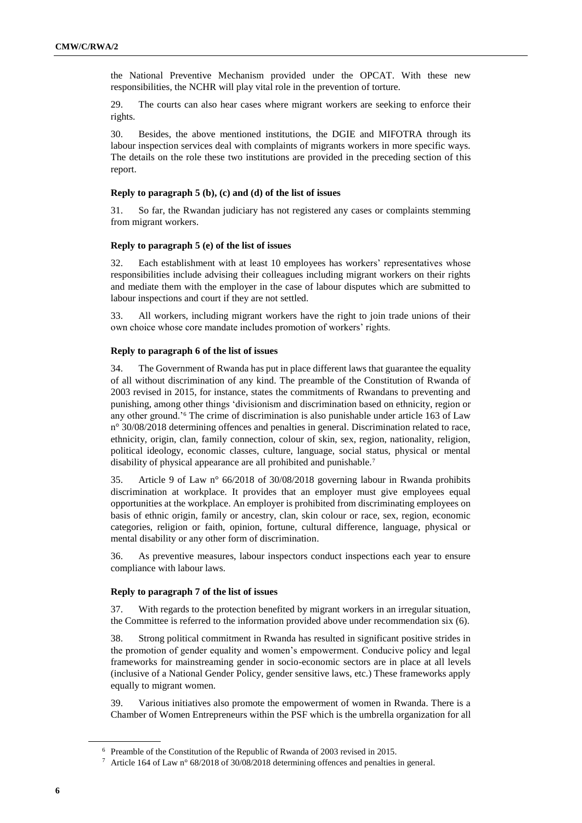the National Preventive Mechanism provided under the OPCAT. With these new responsibilities, the NCHR will play vital role in the prevention of torture.

29. The courts can also hear cases where migrant workers are seeking to enforce their rights.

30. Besides, the above mentioned institutions, the DGIE and MIFOTRA through its labour inspection services deal with complaints of migrants workers in more specific ways. The details on the role these two institutions are provided in the preceding section of this report.

#### **Reply to paragraph 5 (b), (c) and (d) of the list of issues**

31. So far, the Rwandan judiciary has not registered any cases or complaints stemming from migrant workers.

### **Reply to paragraph 5 (e) of the list of issues**

32. Each establishment with at least 10 employees has workers' representatives whose responsibilities include advising their colleagues including migrant workers on their rights and mediate them with the employer in the case of labour disputes which are submitted to labour inspections and court if they are not settled.

33. All workers, including migrant workers have the right to join trade unions of their own choice whose core mandate includes promotion of workers' rights.

#### **Reply to paragraph 6 of the list of issues**

34. The Government of Rwanda has put in place different laws that guarantee the equality of all without discrimination of any kind. The preamble of the Constitution of Rwanda of 2003 revised in 2015, for instance, states the commitments of Rwandans to preventing and punishing, among other things 'divisionism and discrimination based on ethnicity, region or any other ground.'<sup>6</sup> The crime of discrimination is also punishable under article 163 of Law n° 30/08/2018 determining offences and penalties in general. Discrimination related to race, ethnicity, origin, clan, family connection, colour of skin, sex, region, nationality, religion, political ideology, economic classes, culture, language, social status, physical or mental disability of physical appearance are all prohibited and punishable.<sup>7</sup>

35. Article 9 of Law n° 66/2018 of 30/08/2018 governing labour in Rwanda prohibits discrimination at workplace. It provides that an employer must give employees equal opportunities at the workplace. An employer is prohibited from discriminating employees on basis of ethnic origin, family or ancestry, clan, skin colour or race, sex, region, economic categories, religion or faith, opinion, fortune, cultural difference, language, physical or mental disability or any other form of discrimination.

36. As preventive measures, labour inspectors conduct inspections each year to ensure compliance with labour laws.

#### **Reply to paragraph 7 of the list of issues**

37. With regards to the protection benefited by migrant workers in an irregular situation, the Committee is referred to the information provided above under recommendation six (6).

38. Strong political commitment in Rwanda has resulted in significant positive strides in the promotion of gender equality and women's empowerment. Conducive policy and legal frameworks for mainstreaming gender in socio-economic sectors are in place at all levels (inclusive of a National Gender Policy, gender sensitive laws, etc.) These frameworks apply equally to migrant women.

39. Various initiatives also promote the empowerment of women in Rwanda. There is a Chamber of Women Entrepreneurs within the PSF which is the umbrella organization for all

<sup>6</sup> Preamble of the Constitution of the Republic of Rwanda of 2003 revised in 2015.

<sup>7</sup> Article 164 of Law n° 68/2018 of 30/08/2018 determining offences and penalties in general.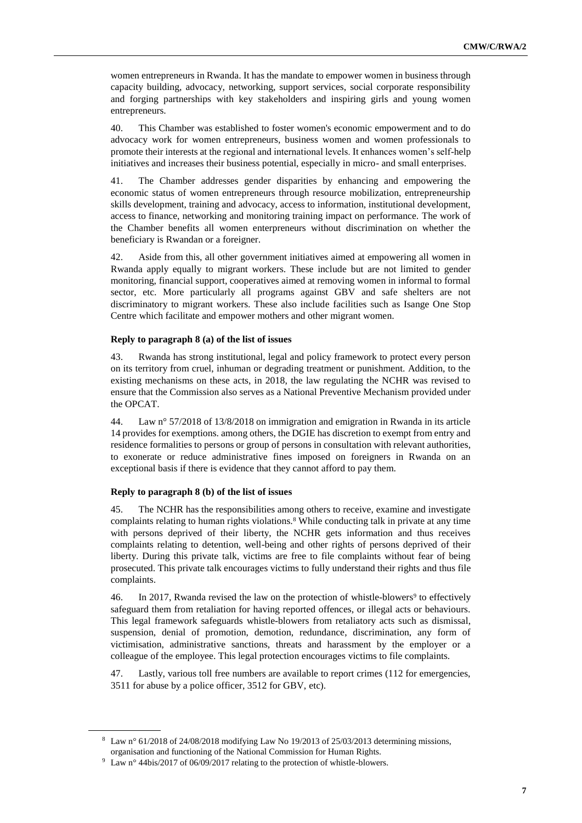women entrepreneurs in Rwanda. It has the mandate to empower women in business through capacity building, advocacy, networking, support services, social corporate responsibility and forging partnerships with key stakeholders and inspiring girls and young women entrepreneurs.

40. This Chamber was established to foster women's economic empowerment and to do advocacy work for women entrepreneurs, business women and women professionals to promote their interests at the regional and international levels. It enhances women's self-help initiatives and increases their business potential, especially in micro- and small enterprises.

41. The Chamber addresses gender disparities by enhancing and empowering the economic status of women entrepreneurs through resource mobilization, entrepreneurship skills development, training and advocacy, access to information, institutional development, access to finance, networking and monitoring training impact on performance. The work of the Chamber benefits all women enterpreneurs without discrimination on whether the beneficiary is Rwandan or a foreigner.

42. Aside from this, all other government initiatives aimed at empowering all women in Rwanda apply equally to migrant workers. These include but are not limited to gender monitoring, financial support, cooperatives aimed at removing women in informal to formal sector, etc. More particularly all programs against GBV and safe shelters are not discriminatory to migrant workers. These also include facilities such as Isange One Stop Centre which facilitate and empower mothers and other migrant women.

#### **Reply to paragraph 8 (a) of the list of issues**

43. Rwanda has strong institutional, legal and policy framework to protect every person on its territory from cruel, inhuman or degrading treatment or punishment. Addition, to the existing mechanisms on these acts, in 2018, the law regulating the NCHR was revised to ensure that the Commission also serves as a National Preventive Mechanism provided under the OPCAT.

44. Law n° 57/2018 of 13/8/2018 on immigration and emigration in Rwanda in its article 14 provides for exemptions. among others, the DGIE has discretion to exempt from entry and residence formalities to persons or group of persons in consultation with relevant authorities, to exonerate or reduce administrative fines imposed on foreigners in Rwanda on an exceptional basis if there is evidence that they cannot afford to pay them.

#### **Reply to paragraph 8 (b) of the list of issues**

45. The NCHR has the responsibilities among others to receive, examine and investigate complaints relating to human rights violations.<sup>8</sup> While conducting talk in private at any time with persons deprived of their liberty, the NCHR gets information and thus receives complaints relating to detention, well-being and other rights of persons deprived of their liberty. During this private talk, victims are free to file complaints without fear of being prosecuted. This private talk encourages victims to fully understand their rights and thus file complaints.

46. In 2017, Rwanda revised the law on the protection of whistle-blowers<sup>9</sup> to effectively safeguard them from retaliation for having reported offences, or illegal acts or behaviours. This legal framework safeguards whistle-blowers from retaliatory acts such as dismissal, suspension, denial of promotion, demotion, redundance, discrimination, any form of victimisation, administrative sanctions, threats and harassment by the employer or a colleague of the employee. This legal protection encourages victims to file complaints.

47. Lastly, various toll free numbers are available to report crimes (112 for emergencies, 3511 for abuse by a police officer, 3512 for GBV, etc).

<sup>&</sup>lt;sup>8</sup> Law  $n^{\circ}$  61/2018 of 24/08/2018 modifying Law No 19/2013 of 25/03/2013 determining missions. organisation and functioning of the National Commission for Human Rights.

<sup>9</sup> Law n° 44bis/2017 of 06/09/2017 relating to the protection of whistle-blowers.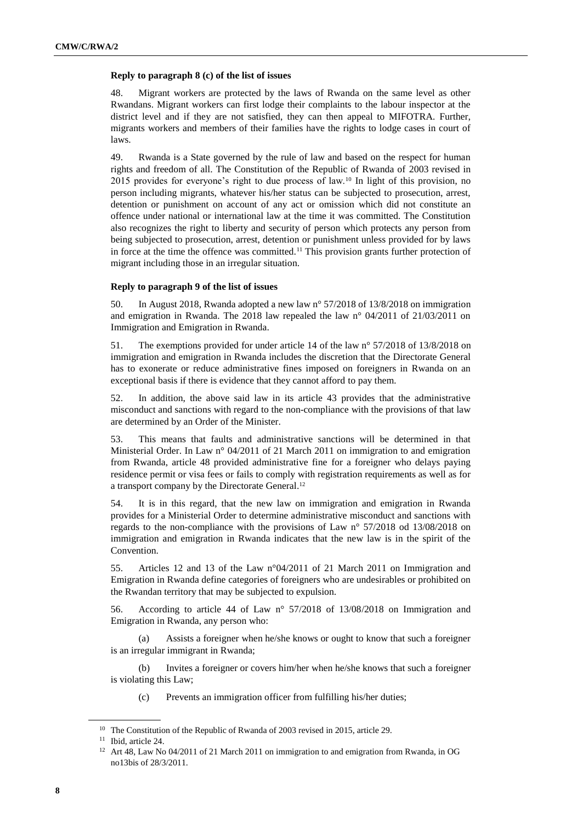# **Reply to paragraph 8 (c) of the list of issues**

48. Migrant workers are protected by the laws of Rwanda on the same level as other Rwandans. Migrant workers can first lodge their complaints to the labour inspector at the district level and if they are not satisfied, they can then appeal to MIFOTRA. Further, migrants workers and members of their families have the rights to lodge cases in court of laws.

49. Rwanda is a State governed by the rule of law and based on the respect for human rights and freedom of all. The Constitution of the Republic of Rwanda of 2003 revised in 2015 provides for everyone's right to due process of law.<sup>10</sup> In light of this provision, no person including migrants, whatever his/her status can be subjected to prosecution, arrest, detention or punishment on account of any act or omission which did not constitute an offence under national or international law at the time it was committed. The Constitution also recognizes the right to liberty and security of person which protects any person from being subjected to prosecution, arrest, detention or punishment unless provided for by laws in force at the time the offence was committed.<sup>11</sup> This provision grants further protection of migrant including those in an irregular situation.

# **Reply to paragraph 9 of the list of issues**

50. In August 2018, Rwanda adopted a new law n° 57/2018 of 13/8/2018 on immigration and emigration in Rwanda. The 2018 law repealed the law n° 04/2011 of 21/03/2011 on Immigration and Emigration in Rwanda.

51. The exemptions provided for under article 14 of the law n° 57/2018 of 13/8/2018 on immigration and emigration in Rwanda includes the discretion that the Directorate General has to exonerate or reduce administrative fines imposed on foreigners in Rwanda on an exceptional basis if there is evidence that they cannot afford to pay them.

52. In addition, the above said law in its article 43 provides that the administrative misconduct and sanctions with regard to the non-compliance with the provisions of that law are determined by an Order of the Minister.

53. This means that faults and administrative sanctions will be determined in that Ministerial Order. In Law n° 04/2011 of 21 March 2011 on immigration to and emigration from Rwanda, article 48 provided administrative fine for a foreigner who delays paying residence permit or visa fees or fails to comply with registration requirements as well as for a transport company by the Directorate General. 12

54. It is in this regard, that the new law on immigration and emigration in Rwanda provides for a Ministerial Order to determine administrative misconduct and sanctions with regards to the non-compliance with the provisions of Law n° 57/2018 od 13/08/2018 on immigration and emigration in Rwanda indicates that the new law is in the spirit of the Convention.

55. Articles 12 and 13 of the Law n°04/2011 of 21 March 2011 on Immigration and Emigration in Rwanda define categories of foreigners who are undesirables or prohibited on the Rwandan territory that may be subjected to expulsion.

56. According to article 44 of Law n° 57/2018 of 13/08/2018 on Immigration and Emigration in Rwanda, any person who:

(a) Assists a foreigner when he/she knows or ought to know that such a foreigner is an irregular immigrant in Rwanda;

(b) Invites a foreigner or covers him/her when he/she knows that such a foreigner is violating this Law;

(c) Prevents an immigration officer from fulfilling his/her duties;

<sup>&</sup>lt;sup>10</sup> The Constitution of the Republic of Rwanda of 2003 revised in 2015, article 29.

<sup>11</sup> Ibid, article 24.

<sup>&</sup>lt;sup>12</sup> Art 48, Law No 04/2011 of 21 March 2011 on immigration to and emigration from Rwanda, in OG no13bis of 28/3/2011.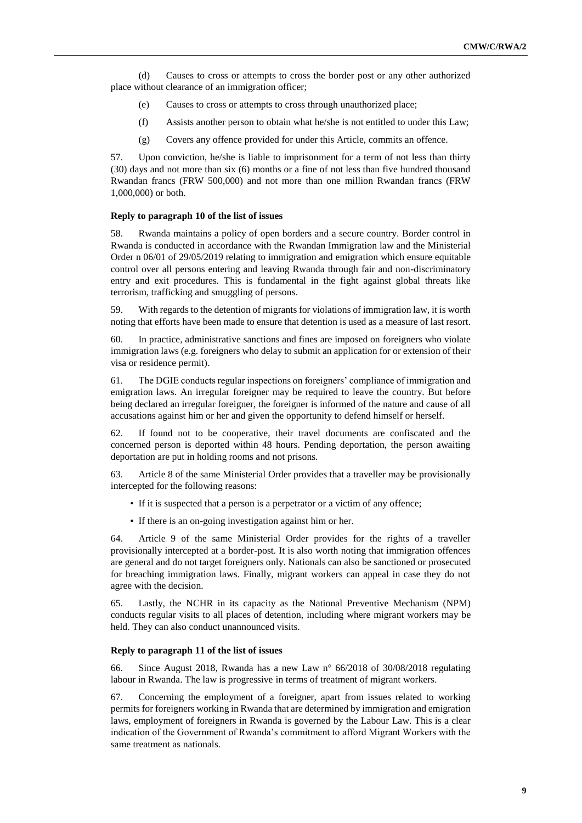(d) Causes to cross or attempts to cross the border post or any other authorized place without clearance of an immigration officer;

- (e) Causes to cross or attempts to cross through unauthorized place;
- (f) Assists another person to obtain what he/she is not entitled to under this Law;
- (g) Covers any offence provided for under this Article, commits an offence.

57. Upon conviction, he/she is liable to imprisonment for a term of not less than thirty (30) days and not more than six (6) months or a fine of not less than five hundred thousand Rwandan francs (FRW 500,000) and not more than one million Rwandan francs (FRW 1,000,000) or both.

#### **Reply to paragraph 10 of the list of issues**

58. Rwanda maintains a policy of open borders and a secure country. Border control in Rwanda is conducted in accordance with the Rwandan Immigration law and the Ministerial Order n 06/01 of 29/05/2019 relating to immigration and emigration which ensure equitable control over all persons entering and leaving Rwanda through fair and non-discriminatory entry and exit procedures. This is fundamental in the fight against global threats like terrorism, trafficking and smuggling of persons.

59. With regards to the detention of migrants for violations of immigration law, it is worth noting that efforts have been made to ensure that detention is used as a measure of last resort.

60. In practice, administrative sanctions and fines are imposed on foreigners who violate immigration laws (e.g. foreigners who delay to submit an application for or extension of their visa or residence permit).

61. The DGIE conducts regular inspections on foreigners' compliance of immigration and emigration laws. An irregular foreigner may be required to leave the country. But before being declared an irregular foreigner, the foreigner is informed of the nature and cause of all accusations against him or her and given the opportunity to defend himself or herself.

62. If found not to be cooperative, their travel documents are confiscated and the concerned person is deported within 48 hours. Pending deportation, the person awaiting deportation are put in holding rooms and not prisons.

63. Article 8 of the same Ministerial Order provides that a traveller may be provisionally intercepted for the following reasons:

- If it is suspected that a person is a perpetrator or a victim of any offence;
- If there is an on-going investigation against him or her.

64. Article 9 of the same Ministerial Order provides for the rights of a traveller provisionally intercepted at a border-post. It is also worth noting that immigration offences are general and do not target foreigners only. Nationals can also be sanctioned or prosecuted for breaching immigration laws. Finally, migrant workers can appeal in case they do not agree with the decision.

65. Lastly, the NCHR in its capacity as the National Preventive Mechanism (NPM) conducts regular visits to all places of detention, including where migrant workers may be held. They can also conduct unannounced visits.

#### **Reply to paragraph 11 of the list of issues**

66. Since August 2018, Rwanda has a new Law n° 66/2018 of 30/08/2018 regulating labour in Rwanda. The law is progressive in terms of treatment of migrant workers.

67. Concerning the employment of a foreigner, apart from issues related to working permits for foreigners working in Rwanda that are determined by immigration and emigration laws, employment of foreigners in Rwanda is governed by the Labour Law. This is a clear indication of the Government of Rwanda's commitment to afford Migrant Workers with the same treatment as nationals.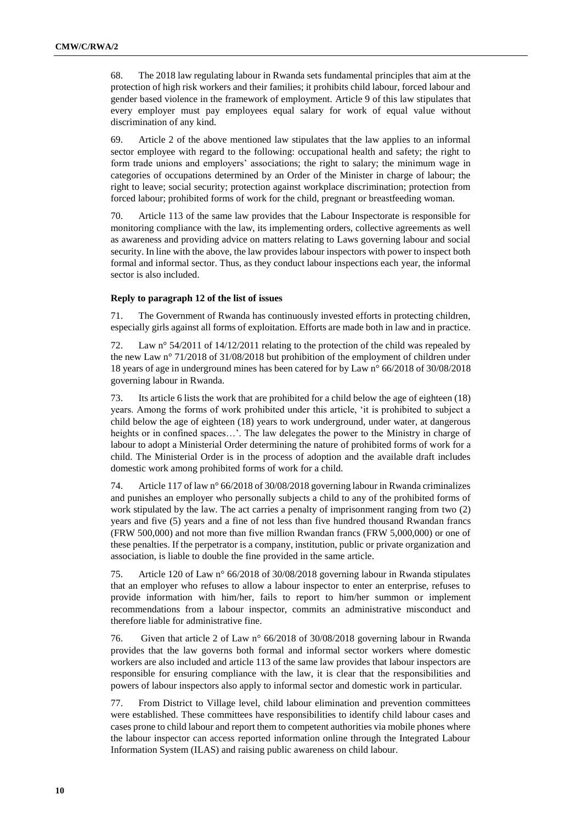68. The 2018 law regulating labour in Rwanda sets fundamental principles that aim at the protection of high risk workers and their families; it prohibits child labour, forced labour and gender based violence in the framework of employment. Article 9 of this law stipulates that every employer must pay employees equal salary for work of equal value without discrimination of any kind.

69. Article 2 of the above mentioned law stipulates that the law applies to an informal sector employee with regard to the following: occupational health and safety; the right to form trade unions and employers' associations; the right to salary; the minimum wage in categories of occupations determined by an Order of the Minister in charge of labour; the right to leave; social security; protection against workplace discrimination; protection from forced labour; prohibited forms of work for the child, pregnant or breastfeeding woman.

70. Article 113 of the same law provides that the Labour Inspectorate is responsible for monitoring compliance with the law, its implementing orders, collective agreements as well as awareness and providing advice on matters relating to Laws governing labour and social security. In line with the above, the law provides labour inspectors with power to inspect both formal and informal sector. Thus, as they conduct labour inspections each year, the informal sector is also included.

#### **Reply to paragraph 12 of the list of issues**

71. The Government of Rwanda has continuously invested efforts in protecting children, especially girls against all forms of exploitation. Efforts are made both in law and in practice.

72. Law n° 54/2011 of 14/12/2011 relating to the protection of the child was repealed by the new Law n° 71/2018 of 31/08/2018 but prohibition of the employment of children under 18 years of age in underground mines has been catered for by Law n° 66/2018 of 30/08/2018 governing labour in Rwanda.

73. Its article 6 lists the work that are prohibited for a child below the age of eighteen (18) years. Among the forms of work prohibited under this article, 'it is prohibited to subject a child below the age of eighteen (18) years to work underground, under water, at dangerous heights or in confined spaces…'. The law delegates the power to the Ministry in charge of labour to adopt a Ministerial Order determining the nature of prohibited forms of work for a child. The Ministerial Order is in the process of adoption and the available draft includes domestic work among prohibited forms of work for a child.

74. Article 117 of law n° 66/2018 of 30/08/2018 governing labour in Rwanda criminalizes and punishes an employer who personally subjects a child to any of the prohibited forms of work stipulated by the law. The act carries a penalty of imprisonment ranging from two (2) years and five (5) years and a fine of not less than five hundred thousand Rwandan francs (FRW 500,000) and not more than five million Rwandan francs (FRW 5,000,000) or one of these penalties. If the perpetrator is a company, institution, public or private organization and association, is liable to double the fine provided in the same article.

75. Article 120 of Law n° 66/2018 of 30/08/2018 governing labour in Rwanda stipulates that an employer who refuses to allow a labour inspector to enter an enterprise, refuses to provide information with him/her, fails to report to him/her summon or implement recommendations from a labour inspector, commits an administrative misconduct and therefore liable for administrative fine.

76. Given that article 2 of Law n° 66/2018 of 30/08/2018 governing labour in Rwanda provides that the law governs both formal and informal sector workers where domestic workers are also included and article 113 of the same law provides that labour inspectors are responsible for ensuring compliance with the law, it is clear that the responsibilities and powers of labour inspectors also apply to informal sector and domestic work in particular.

77. From District to Village level, child labour elimination and prevention committees were established. These committees have responsibilities to identify child labour cases and cases prone to child labour and report them to competent authorities via mobile phones where the labour inspector can access reported information online through the Integrated Labour Information System (ILAS) and raising public awareness on child labour.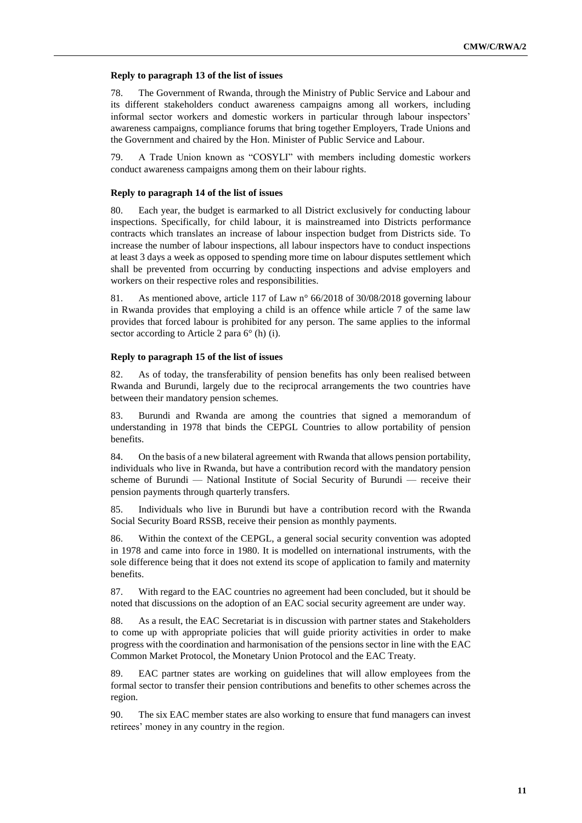#### **Reply to paragraph 13 of the list of issues**

78. The Government of Rwanda, through the Ministry of Public Service and Labour and its different stakeholders conduct awareness campaigns among all workers, including informal sector workers and domestic workers in particular through labour inspectors' awareness campaigns, compliance forums that bring together Employers, Trade Unions and the Government and chaired by the Hon. Minister of Public Service and Labour.

79. A Trade Union known as "COSYLI" with members including domestic workers conduct awareness campaigns among them on their labour rights.

#### **Reply to paragraph 14 of the list of issues**

80. Each year, the budget is earmarked to all District exclusively for conducting labour inspections. Specifically, for child labour, it is mainstreamed into Districts performance contracts which translates an increase of labour inspection budget from Districts side. To increase the number of labour inspections, all labour inspectors have to conduct inspections at least 3 days a week as opposed to spending more time on labour disputes settlement which shall be prevented from occurring by conducting inspections and advise employers and workers on their respective roles and responsibilities.

81. As mentioned above, article 117 of Law n° 66/2018 of 30/08/2018 governing labour in Rwanda provides that employing a child is an offence while article 7 of the same law provides that forced labour is prohibited for any person. The same applies to the informal sector according to Article 2 para 6° (h) (i).

#### **Reply to paragraph 15 of the list of issues**

82. As of today, the transferability of pension benefits has only been realised between Rwanda and Burundi, largely due to the reciprocal arrangements the two countries have between their mandatory pension schemes.

83. Burundi and Rwanda are among the countries that signed a memorandum of understanding in 1978 that binds the CEPGL Countries to allow portability of pension benefits.

84. On the basis of a new bilateral agreement with Rwanda that allows pension portability, individuals who live in Rwanda, but have a contribution record with the mandatory pension scheme of Burundi — National Institute of Social Security of Burundi — receive their pension payments through quarterly transfers.

85. Individuals who live in Burundi but have a contribution record with the Rwanda Social Security Board RSSB, receive their pension as monthly payments.

86. Within the context of the CEPGL, a general social security convention was adopted in 1978 and came into force in 1980. It is modelled on international instruments, with the sole difference being that it does not extend its scope of application to family and maternity benefits.

87. With regard to the EAC countries no agreement had been concluded, but it should be noted that discussions on the adoption of an EAC social security agreement are under way.

88. As a result, the EAC Secretariat is in discussion with partner states and Stakeholders to come up with appropriate policies that will guide priority activities in order to make progress with the coordination and harmonisation of the pensions sector in line with the EAC Common Market Protocol, the Monetary Union Protocol and the EAC Treaty.

89. EAC partner states are working on guidelines that will allow employees from the formal sector to transfer their pension contributions and benefits to other schemes across the region.

90. The six EAC member states are also working to ensure that fund managers can invest retirees' money in any country in the region.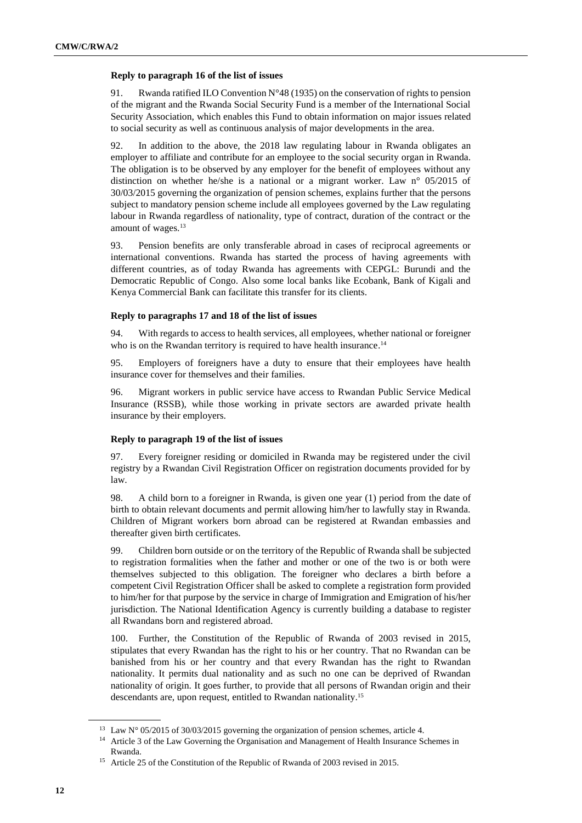# **Reply to paragraph 16 of the list of issues**

91. Rwanda ratified ILO Convention N°48 (1935) on the conservation of rights to pension of the migrant and the Rwanda Social Security Fund is a member of the International Social Security Association, which enables this Fund to obtain information on major issues related to social security as well as continuous analysis of major developments in the area.

In addition to the above, the 2018 law regulating labour in Rwanda obligates an employer to affiliate and contribute for an employee to the social security organ in Rwanda. The obligation is to be observed by any employer for the benefit of employees without any distinction on whether he/she is a national or a migrant worker. Law n° 05/2015 of 30/03/2015 governing the organization of pension schemes, explains further that the persons subject to mandatory pension scheme include all employees governed by the Law regulating labour in Rwanda regardless of nationality, type of contract, duration of the contract or the amount of wages.<sup>13</sup>

93. Pension benefits are only transferable abroad in cases of reciprocal agreements or international conventions. Rwanda has started the process of having agreements with different countries, as of today Rwanda has agreements with CEPGL: Burundi and the Democratic Republic of Congo. Also some local banks like Ecobank, Bank of Kigali and Kenya Commercial Bank can facilitate this transfer for its clients.

# **Reply to paragraphs 17 and 18 of the list of issues**

94. With regards to access to health services, all employees, whether national or foreigner who is on the Rwandan territory is required to have health insurance.<sup>14</sup>

95. Employers of foreigners have a duty to ensure that their employees have health insurance cover for themselves and their families.

96. Migrant workers in public service have access to Rwandan Public Service Medical Insurance (RSSB), while those working in private sectors are awarded private health insurance by their employers.

#### **Reply to paragraph 19 of the list of issues**

97. Every foreigner residing or domiciled in Rwanda may be registered under the civil registry by a Rwandan Civil Registration Officer on registration documents provided for by law.

98. A child born to a foreigner in Rwanda, is given one year (1) period from the date of birth to obtain relevant documents and permit allowing him/her to lawfully stay in Rwanda. Children of Migrant workers born abroad can be registered at Rwandan embassies and thereafter given birth certificates.

99. Children born outside or on the territory of the Republic of Rwanda shall be subjected to registration formalities when the father and mother or one of the two is or both were themselves subjected to this obligation. The foreigner who declares a birth before a competent Civil Registration Officer shall be asked to complete a registration form provided to him/her for that purpose by the service in charge of Immigration and Emigration of his/her jurisdiction. The National Identification Agency is currently building a database to register all Rwandans born and registered abroad.

100. Further, the Constitution of the Republic of Rwanda of 2003 revised in 2015, stipulates that every Rwandan has the right to his or her country. That no Rwandan can be banished from his or her country and that every Rwandan has the right to Rwandan nationality. It permits dual nationality and as such no one can be deprived of Rwandan nationality of origin. It goes further, to provide that all persons of Rwandan origin and their descendants are, upon request, entitled to Rwandan nationality. 15

<sup>&</sup>lt;sup>13</sup> Law N° 05/2015 of 30/03/2015 governing the organization of pension schemes, article 4.

<sup>&</sup>lt;sup>14</sup> Article 3 of the Law Governing the Organisation and Management of Health Insurance Schemes in Rwanda.

<sup>&</sup>lt;sup>15</sup> Article 25 of the Constitution of the Republic of Rwanda of 2003 revised in 2015.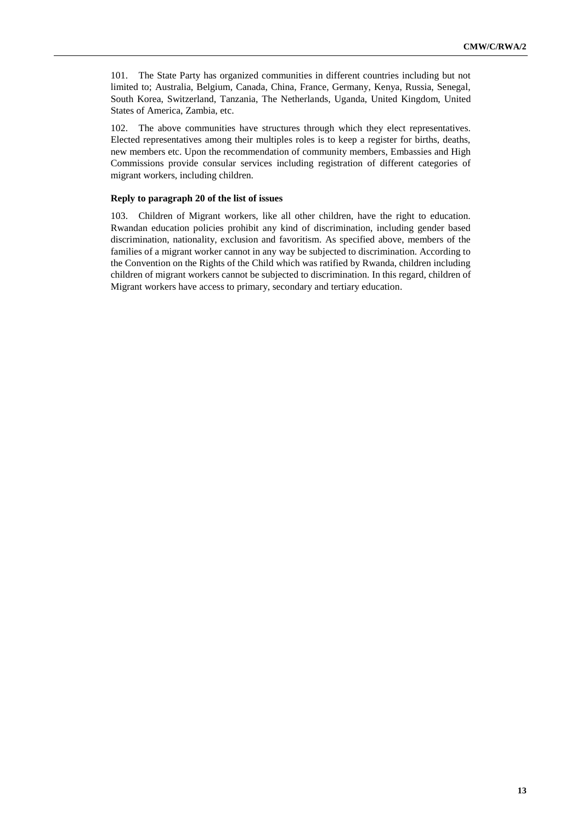101. The State Party has organized communities in different countries including but not limited to; Australia, Belgium, Canada, China, France, Germany, Kenya, Russia, Senegal, South Korea, Switzerland, Tanzania, The Netherlands, Uganda, United Kingdom, United States of America, Zambia, etc.

102. The above communities have structures through which they elect representatives. Elected representatives among their multiples roles is to keep a register for births, deaths, new members etc. Upon the recommendation of community members, Embassies and High Commissions provide consular services including registration of different categories of migrant workers, including children.

# **Reply to paragraph 20 of the list of issues**

103. Children of Migrant workers, like all other children, have the right to education. Rwandan education policies prohibit any kind of discrimination, including gender based discrimination, nationality, exclusion and favoritism. As specified above, members of the families of a migrant worker cannot in any way be subjected to discrimination. According to the Convention on the Rights of the Child which was ratified by Rwanda, children including children of migrant workers cannot be subjected to discrimination. In this regard, children of Migrant workers have access to primary, secondary and tertiary education.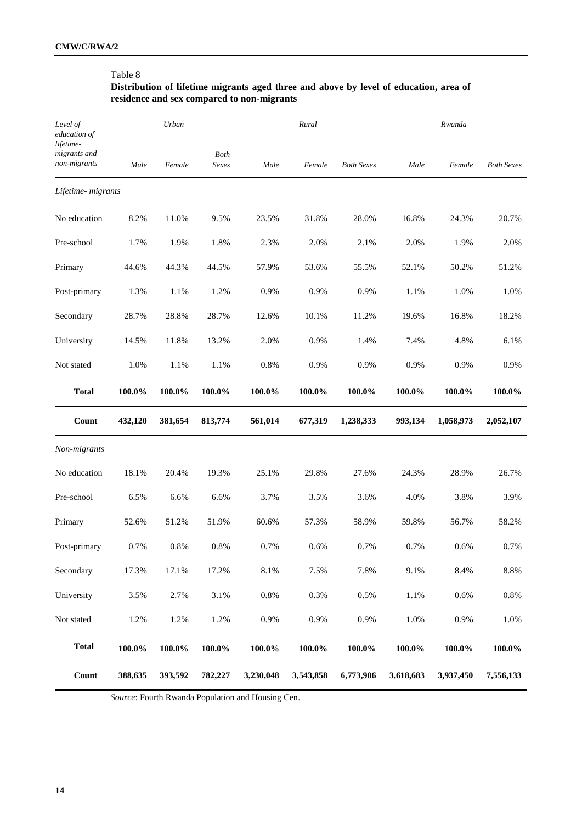# Table 8

# **Distribution of lifetime migrants aged three and above by level of education, area of residence and sex compared to non-migrants**

| Level of<br>education of                  |           | Urban   |                      |           | Rural     |                   |           | Rwanda    |                   |
|-------------------------------------------|-----------|---------|----------------------|-----------|-----------|-------------------|-----------|-----------|-------------------|
| lifetime-<br>migrants and<br>non-migrants | Male      | Female  | <b>Both</b><br>Sexes | Male      | Female    | <b>Both Sexes</b> | Male      | Female    | <b>Both Sexes</b> |
| Lifetime- migrants                        |           |         |                      |           |           |                   |           |           |                   |
| No education                              | 8.2%      | 11.0%   | 9.5%                 | 23.5%     | 31.8%     | 28.0%             | 16.8%     | 24.3%     | 20.7%             |
| Pre-school                                | 1.7%      | 1.9%    | 1.8%                 | 2.3%      | 2.0%      | 2.1%              | 2.0%      | 1.9%      | 2.0%              |
| Primary                                   | 44.6%     | 44.3%   | 44.5%                | 57.9%     | 53.6%     | 55.5%             | 52.1%     | 50.2%     | 51.2%             |
| Post-primary                              | 1.3%      | 1.1%    | 1.2%                 | 0.9%      | 0.9%      | 0.9%              | 1.1%      | 1.0%      | 1.0%              |
| Secondary                                 | 28.7%     | 28.8%   | 28.7%                | 12.6%     | 10.1%     | 11.2%             | 19.6%     | 16.8%     | 18.2%             |
| University                                | 14.5%     | 11.8%   | 13.2%                | 2.0%      | 0.9%      | 1.4%              | 7.4%      | 4.8%      | 6.1%              |
| Not stated                                | 1.0%      | 1.1%    | 1.1%                 | 0.8%      | 0.9%      | 0.9%              | 0.9%      | 0.9%      | 0.9%              |
| <b>Total</b>                              | 100.0%    | 100.0%  | 100.0%               | 100.0%    | 100.0%    | 100.0%            | 100.0%    | 100.0%    | 100.0%            |
| Count                                     | 432,120   | 381,654 | 813,774              | 561,014   | 677,319   | 1,238,333         | 993,134   | 1,058,973 | 2,052,107         |
| Non-migrants                              |           |         |                      |           |           |                   |           |           |                   |
| No education                              | 18.1%     | 20.4%   | 19.3%                | 25.1%     | 29.8%     | 27.6%             | 24.3%     | 28.9%     | 26.7%             |
| Pre-school                                | 6.5%      | 6.6%    | 6.6%                 | 3.7%      | 3.5%      | 3.6%              | 4.0%      | 3.8%      | 3.9%              |
| Primary                                   | 52.6%     | 51.2%   | 51.9%                | 60.6%     | 57.3%     | 58.9%             | 59.8%     | 56.7%     | 58.2%             |
| Post-primary                              | 0.7%      | $0.8\%$ | $0.8\%$              | 0.7%      | 0.6%      | 0.7%              | 0.7%      | 0.6%      | 0.7%              |
| Secondary                                 | 17.3%     | 17.1%   | 17.2%                | 8.1%      | 7.5%      | 7.8%              | 9.1%      | 8.4%      | 8.8%              |
| University                                | 3.5%      | 2.7%    | 3.1%                 | $0.8\%$   | 0.3%      | 0.5%              | 1.1%      | 0.6%      | 0.8%              |
| Not stated                                | 1.2%      | 1.2%    | 1.2%                 | 0.9%      | 0.9%      | 0.9%              | 1.0%      | 0.9%      | 1.0%              |
| <b>Total</b>                              | $100.0\%$ | 100.0%  | 100.0%               | 100.0%    | $100.0\%$ | 100.0%            | 100.0%    | 100.0%    | $100.0\%$         |
| Count                                     | 388,635   | 393,592 | 782,227              | 3,230,048 | 3,543,858 | 6,773,906         | 3,618,683 | 3,937,450 | 7,556,133         |

*Source*: Fourth Rwanda Population and Housing Cen.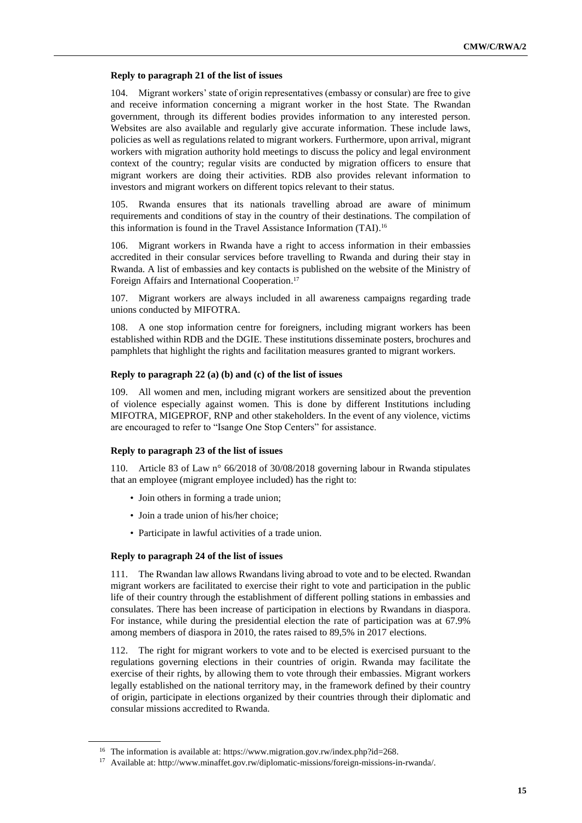#### **Reply to paragraph 21 of the list of issues**

104. Migrant workers' state of origin representatives (embassy or consular) are free to give and receive information concerning a migrant worker in the host State. The Rwandan government, through its different bodies provides information to any interested person. Websites are also available and regularly give accurate information. These include laws, policies as well as regulations related to migrant workers. Furthermore, upon arrival, migrant workers with migration authority hold meetings to discuss the policy and legal environment context of the country; regular visits are conducted by migration officers to ensure that migrant workers are doing their activities. RDB also provides relevant information to investors and migrant workers on different topics relevant to their status.

105. Rwanda ensures that its nationals travelling abroad are aware of minimum requirements and conditions of stay in the country of their destinations. The compilation of this information is found in the Travel Assistance Information (TAI). 16

106. Migrant workers in Rwanda have a right to access information in their embassies accredited in their consular services before travelling to Rwanda and during their stay in Rwanda. A list of embassies and key contacts is published on the website of the Ministry of Foreign Affairs and International Cooperation. 17

107. Migrant workers are always included in all awareness campaigns regarding trade unions conducted by MIFOTRA.

108. A one stop information centre for foreigners, including migrant workers has been established within RDB and the DGIE. These institutions disseminate posters, brochures and pamphlets that highlight the rights and facilitation measures granted to migrant workers.

#### **Reply to paragraph 22 (a) (b) and (c) of the list of issues**

109. All women and men, including migrant workers are sensitized about the prevention of violence especially against women. This is done by different Institutions including MIFOTRA, MIGEPROF, RNP and other stakeholders. In the event of any violence, victims are encouraged to refer to "Isange One Stop Centers" for assistance.

#### **Reply to paragraph 23 of the list of issues**

110. Article 83 of Law n° 66/2018 of 30/08/2018 governing labour in Rwanda stipulates that an employee (migrant employee included) has the right to:

- Join others in forming a trade union;
- Join a trade union of his/her choice;
- Participate in lawful activities of a trade union.

#### **Reply to paragraph 24 of the list of issues**

111. The Rwandan law allows Rwandans living abroad to vote and to be elected. Rwandan migrant workers are facilitated to exercise their right to vote and participation in the public life of their country through the establishment of different polling stations in embassies and consulates. There has been increase of participation in elections by Rwandans in diaspora. For instance, while during the presidential election the rate of participation was at 67.9% among members of diaspora in 2010, the rates raised to 89,5% in 2017 elections.

112. The right for migrant workers to vote and to be elected is exercised pursuant to the regulations governing elections in their countries of origin. Rwanda may facilitate the exercise of their rights, by allowing them to vote through their embassies. Migrant workers legally established on the national territory may, in the framework defined by their country of origin, participate in elections organized by their countries through their diplomatic and consular missions accredited to Rwanda.

<sup>&</sup>lt;sup>16</sup> The information is available at[: https://www.migration.gov.rw/index.php?id=268.](https://www.migration.gov.rw/index.php?id=268)

<sup>17</sup> Available at: [http://www.minaffet.gov.rw/diplomatic-missions/foreign-missions-in-rwanda/.](http://www.minaffet.gov.rw/diplomatic-missions/foreign-missions-in-rwanda/)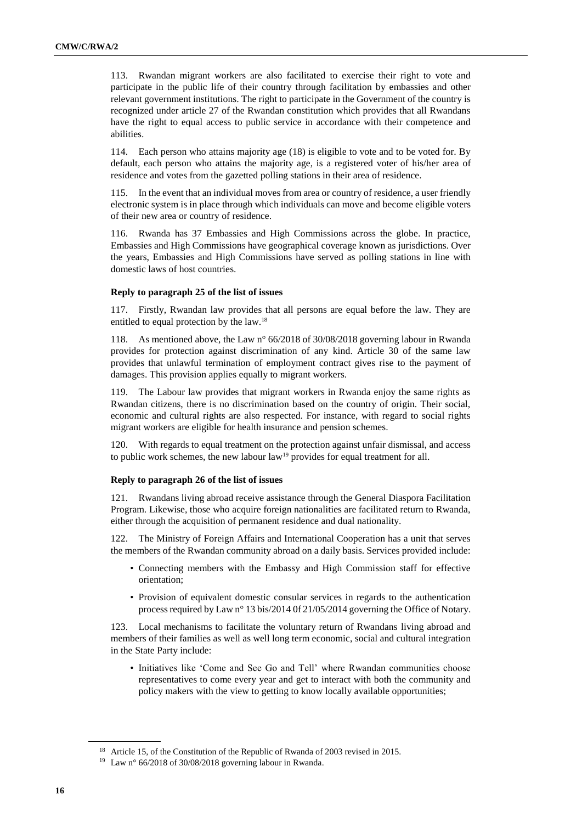113. Rwandan migrant workers are also facilitated to exercise their right to vote and participate in the public life of their country through facilitation by embassies and other relevant government institutions. The right to participate in the Government of the country is recognized under article 27 of the Rwandan constitution which provides that all Rwandans have the right to equal access to public service in accordance with their competence and abilities.

114. Each person who attains majority age (18) is eligible to vote and to be voted for. By default, each person who attains the majority age, is a registered voter of his/her area of residence and votes from the gazetted polling stations in their area of residence.

115. In the event that an individual moves from area or country of residence, a user friendly electronic system is in place through which individuals can move and become eligible voters of their new area or country of residence.

116. Rwanda has 37 Embassies and High Commissions across the globe. In practice, Embassies and High Commissions have geographical coverage known as jurisdictions. Over the years, Embassies and High Commissions have served as polling stations in line with domestic laws of host countries.

#### **Reply to paragraph 25 of the list of issues**

117. Firstly, Rwandan law provides that all persons are equal before the law. They are entitled to equal protection by the law.<sup>18</sup>

118. As mentioned above, the Law n° 66/2018 of 30/08/2018 governing labour in Rwanda provides for protection against discrimination of any kind. Article 30 of the same law provides that unlawful termination of employment contract gives rise to the payment of damages. This provision applies equally to migrant workers.

119. The Labour law provides that migrant workers in Rwanda enjoy the same rights as Rwandan citizens, there is no discrimination based on the country of origin. Their social, economic and cultural rights are also respected. For instance, with regard to social rights migrant workers are eligible for health insurance and pension schemes.

120. With regards to equal treatment on the protection against unfair dismissal, and access to public work schemes, the new labour law<sup>19</sup> provides for equal treatment for all.

#### **Reply to paragraph 26 of the list of issues**

121. Rwandans living abroad receive assistance through the General Diaspora Facilitation Program. Likewise, those who acquire foreign nationalities are facilitated return to Rwanda, either through the acquisition of permanent residence and dual nationality.

122. The Ministry of Foreign Affairs and International Cooperation has a unit that serves the members of the Rwandan community abroad on a daily basis. Services provided include:

- Connecting members with the Embassy and High Commission staff for effective orientation;
- Provision of equivalent domestic consular services in regards to the authentication process required by Law n° 13 bis/2014 0f 21/05/2014 governing the Office of Notary.

123. Local mechanisms to facilitate the voluntary return of Rwandans living abroad and members of their families as well as well long term economic, social and cultural integration in the State Party include:

• Initiatives like 'Come and See Go and Tell' where Rwandan communities choose representatives to come every year and get to interact with both the community and policy makers with the view to getting to know locally available opportunities;

<sup>&</sup>lt;sup>18</sup> Article 15, of the Constitution of the Republic of Rwanda of 2003 revised in 2015.

<sup>19</sup> Law n° 66/2018 of 30/08/2018 governing labour in Rwanda.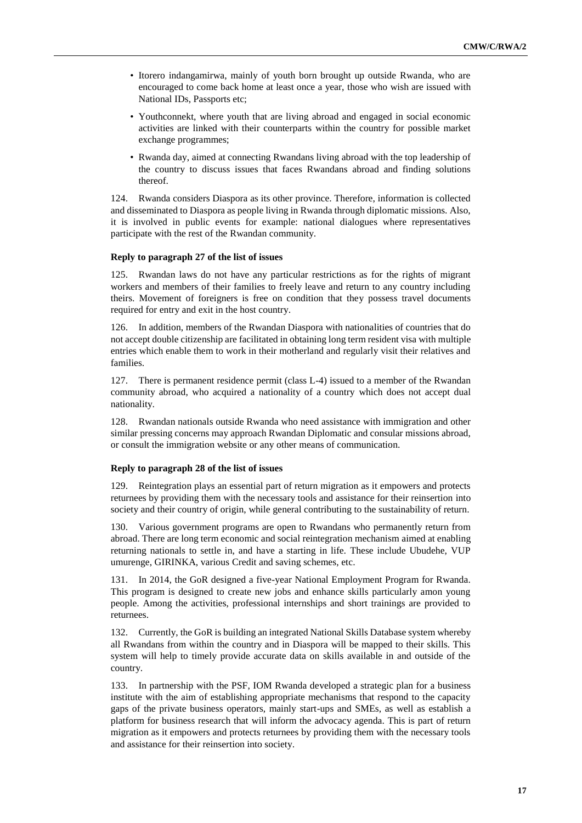- Itorero indangamirwa, mainly of youth born brought up outside Rwanda, who are encouraged to come back home at least once a year, those who wish are issued with National IDs, Passports etc;
- Youthconnekt, where youth that are living abroad and engaged in social economic activities are linked with their counterparts within the country for possible market exchange programmes;
- Rwanda day, aimed at connecting Rwandans living abroad with the top leadership of the country to discuss issues that faces Rwandans abroad and finding solutions thereof.

124. Rwanda considers Diaspora as its other province. Therefore, information is collected and disseminated to Diaspora as people living in Rwanda through diplomatic missions. Also, it is involved in public events for example: national dialogues where representatives participate with the rest of the Rwandan community.

#### **Reply to paragraph 27 of the list of issues**

125. Rwandan laws do not have any particular restrictions as for the rights of migrant workers and members of their families to freely leave and return to any country including theirs. Movement of foreigners is free on condition that they possess travel documents required for entry and exit in the host country.

126. In addition, members of the Rwandan Diaspora with nationalities of countries that do not accept double citizenship are facilitated in obtaining long term resident visa with multiple entries which enable them to work in their motherland and regularly visit their relatives and families.

127. There is permanent residence permit (class L-4) issued to a member of the Rwandan community abroad, who acquired a nationality of a country which does not accept dual nationality.

128. Rwandan nationals outside Rwanda who need assistance with immigration and other similar pressing concerns may approach Rwandan Diplomatic and consular missions abroad, or consult the immigration website or any other means of communication.

# **Reply to paragraph 28 of the list of issues**

129. Reintegration plays an essential part of return migration as it empowers and protects returnees by providing them with the necessary tools and assistance for their reinsertion into society and their country of origin, while general contributing to the sustainability of return.

130. Various government programs are open to Rwandans who permanently return from abroad. There are long term economic and social reintegration mechanism aimed at enabling returning nationals to settle in, and have a starting in life. These include Ubudehe, VUP umurenge, GIRINKA, various Credit and saving schemes, etc.

131. In 2014, the GoR designed a five-year National Employment Program for Rwanda. This program is designed to create new jobs and enhance skills particularly amon young people. Among the activities, professional internships and short trainings are provided to returnees.

132. Currently, the GoR is building an integrated National Skills Database system whereby all Rwandans from within the country and in Diaspora will be mapped to their skills. This system will help to timely provide accurate data on skills available in and outside of the country.

133. In partnership with the PSF, IOM Rwanda developed a strategic plan for a business institute with the aim of establishing appropriate mechanisms that respond to the capacity gaps of the private business operators, mainly start-ups and SMEs, as well as establish a platform for business research that will inform the advocacy agenda. This is part of return migration as it empowers and protects returnees by providing them with the necessary tools and assistance for their reinsertion into society.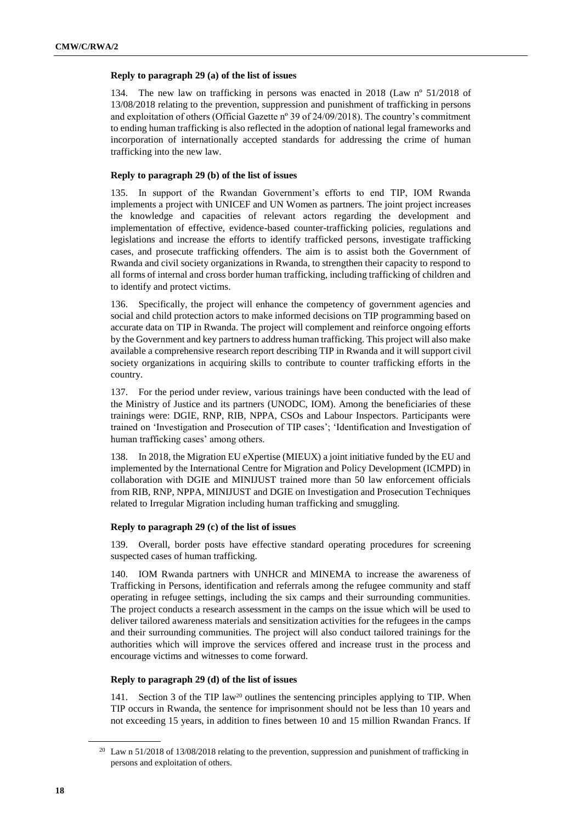# **Reply to paragraph 29 (a) of the list of issues**

134. The new law on trafficking in persons was enacted in 2018 (Law nº 51/2018 of 13/08/2018 relating to the prevention, suppression and punishment of trafficking in persons and exploitation of others (Official Gazette nº 39 of 24/09/2018). The country's commitment to ending human trafficking is also reflected in the adoption of national legal frameworks and incorporation of internationally accepted standards for addressing the crime of human trafficking into the new law.

# **Reply to paragraph 29 (b) of the list of issues**

135. In support of the Rwandan Government's efforts to end TIP, IOM Rwanda implements a project with UNICEF and UN Women as partners. The joint project increases the knowledge and capacities of relevant actors regarding the development and implementation of effective, evidence-based counter-trafficking policies, regulations and legislations and increase the efforts to identify trafficked persons, investigate trafficking cases, and prosecute trafficking offenders. The aim is to assist both the Government of Rwanda and civil society organizations in Rwanda, to strengthen their capacity to respond to all forms of internal and cross border human trafficking, including trafficking of children and to identify and protect victims.

136. Specifically, the project will enhance the competency of government agencies and social and child protection actors to make informed decisions on TIP programming based on accurate data on TIP in Rwanda. The project will complement and reinforce ongoing efforts by the Government and key partners to address human trafficking. This project will also make available a comprehensive research report describing TIP in Rwanda and it will support civil society organizations in acquiring skills to contribute to counter trafficking efforts in the country.

137. For the period under review, various trainings have been conducted with the lead of the Ministry of Justice and its partners (UNODC, IOM). Among the beneficiaries of these trainings were: DGIE, RNP, RIB, NPPA, CSOs and Labour Inspectors. Participants were trained on 'Investigation and Prosecution of TIP cases'; 'Identification and Investigation of human trafficking cases' among others.

138. In 2018, the Migration EU eXpertise (MIEUX) a joint initiative funded by the EU and implemented by the International Centre for Migration and Policy Development (ICMPD) in collaboration with DGIE and MINIJUST trained more than 50 law enforcement officials from RIB, RNP, NPPA, MINIJUST and DGIE on Investigation and Prosecution Techniques related to Irregular Migration including human trafficking and smuggling.

# **Reply to paragraph 29 (c) of the list of issues**

139. Overall, border posts have effective standard operating procedures for screening suspected cases of human trafficking.

140. IOM Rwanda partners with UNHCR and MINEMA to increase the awareness of Trafficking in Persons, identification and referrals among the refugee community and staff operating in refugee settings, including the six camps and their surrounding communities. The project conducts a research assessment in the camps on the issue which will be used to deliver tailored awareness materials and sensitization activities for the refugees in the camps and their surrounding communities. The project will also conduct tailored trainings for the authorities which will improve the services offered and increase trust in the process and encourage victims and witnesses to come forward.

# **Reply to paragraph 29 (d) of the list of issues**

141. Section 3 of the TIP law<sup>20</sup> outlines the sentencing principles applying to TIP. When TIP occurs in Rwanda, the sentence for imprisonment should not be less than 10 years and not exceeding 15 years, in addition to fines between 10 and 15 million Rwandan Francs. If

<sup>&</sup>lt;sup>20</sup> Law n 51/2018 of 13/08/2018 relating to the prevention, suppression and punishment of trafficking in persons and exploitation of others.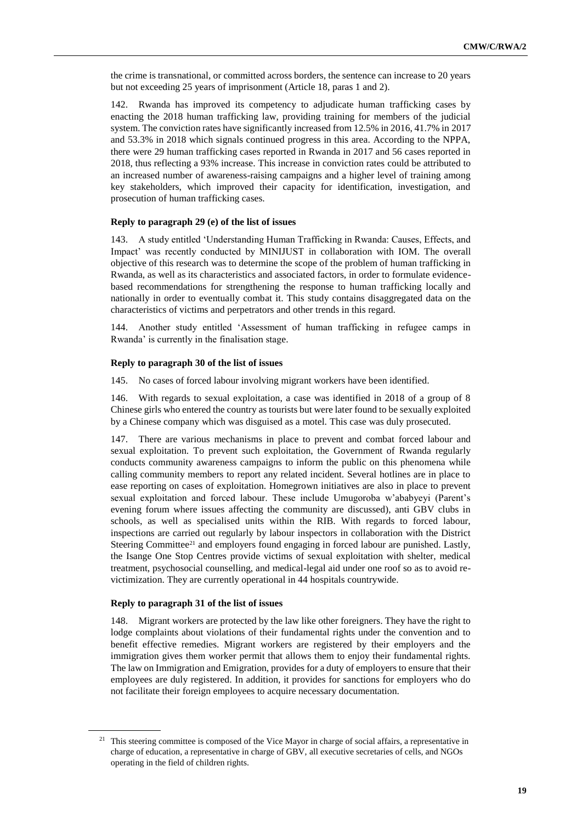the crime is transnational, or committed across borders, the sentence can increase to 20 years but not exceeding 25 years of imprisonment (Article 18, paras 1 and 2).

142. Rwanda has improved its competency to adjudicate human trafficking cases by enacting the 2018 human trafficking law, providing training for members of the judicial system. The conviction rates have significantly increased from 12.5% in 2016, 41.7% in 2017 and 53.3% in 2018 which signals continued progress in this area. According to the NPPA, there were 29 human trafficking cases reported in Rwanda in 2017 and 56 cases reported in 2018, thus reflecting a 93% increase. This increase in conviction rates could be attributed to an increased number of awareness-raising campaigns and a higher level of training among key stakeholders, which improved their capacity for identification, investigation, and prosecution of human trafficking cases.

## **Reply to paragraph 29 (e) of the list of issues**

143. A study entitled 'Understanding Human Trafficking in Rwanda: Causes, Effects, and Impact' was recently conducted by MINIJUST in collaboration with IOM. The overall objective of this research was to determine the scope of the problem of human trafficking in Rwanda, as well as its characteristics and associated factors, in order to formulate evidencebased recommendations for strengthening the response to human trafficking locally and nationally in order to eventually combat it. This study contains disaggregated data on the characteristics of victims and perpetrators and other trends in this regard.

144. Another study entitled 'Assessment of human trafficking in refugee camps in Rwanda' is currently in the finalisation stage.

#### **Reply to paragraph 30 of the list of issues**

145. No cases of forced labour involving migrant workers have been identified.

146. With regards to sexual exploitation, a case was identified in 2018 of a group of 8 Chinese girls who entered the country as tourists but were later found to be sexually exploited by a Chinese company which was disguised as a motel. This case was duly prosecuted.

147. There are various mechanisms in place to prevent and combat forced labour and sexual exploitation. To prevent such exploitation, the Government of Rwanda regularly conducts community awareness campaigns to inform the public on this phenomena while calling community members to report any related incident. Several hotlines are in place to ease reporting on cases of exploitation. Homegrown initiatives are also in place to prevent sexual exploitation and forced labour. These include Umugoroba w'ababyeyi (Parent's evening forum where issues affecting the community are discussed), anti GBV clubs in schools, as well as specialised units within the RIB. With regards to forced labour, inspections are carried out regularly by labour inspectors in collaboration with the District Steering Committee<sup>21</sup> and employers found engaging in forced labour are punished. Lastly, the Isange One Stop Centres provide victims of sexual exploitation with shelter, medical treatment, psychosocial counselling, and medical-legal aid under one roof so as to avoid revictimization. They are currently operational in 44 hospitals countrywide.

# **Reply to paragraph 31 of the list of issues**

148. Migrant workers are protected by the law like other foreigners. They have the right to lodge complaints about violations of their fundamental rights under the convention and to benefit effective remedies. Migrant workers are registered by their employers and the immigration gives them worker permit that allows them to enjoy their fundamental rights. The law on Immigration and Emigration, provides for a duty of employers to ensure that their employees are duly registered. In addition, it provides for sanctions for employers who do not facilitate their foreign employees to acquire necessary documentation.

 $21$  This steering committee is composed of the Vice Mayor in charge of social affairs, a representative in charge of education, a representative in charge of GBV, all executive secretaries of cells, and NGOs operating in the field of children rights.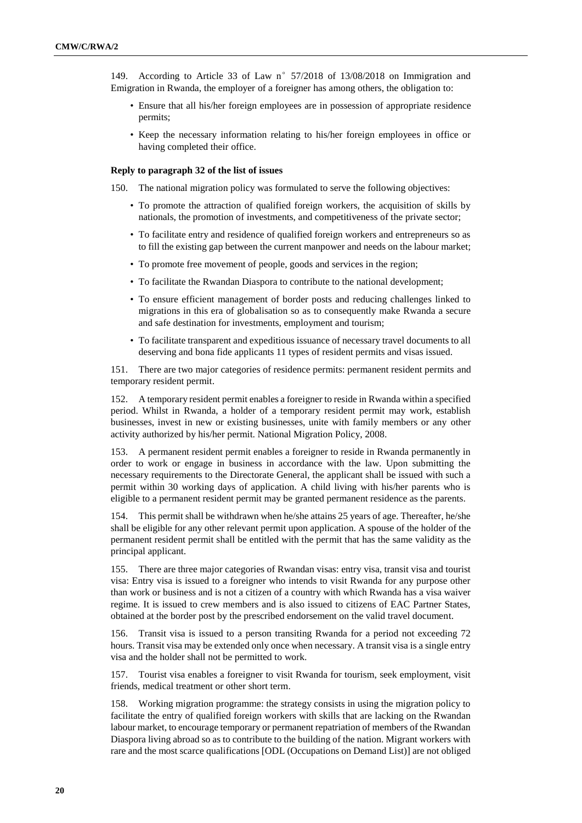149. According to Article 33 of Law n°57/2018 of 13/08/2018 on Immigration and Emigration in Rwanda, the employer of a foreigner has among others, the obligation to:

- Ensure that all his/her foreign employees are in possession of appropriate residence permits;
- Keep the necessary information relating to his/her foreign employees in office or having completed their office.

#### **Reply to paragraph 32 of the list of issues**

150. The national migration policy was formulated to serve the following objectives:

- To promote the attraction of qualified foreign workers, the acquisition of skills by nationals, the promotion of investments, and competitiveness of the private sector;
- To facilitate entry and residence of qualified foreign workers and entrepreneurs so as to fill the existing gap between the current manpower and needs on the labour market;
- To promote free movement of people, goods and services in the region;
- To facilitate the Rwandan Diaspora to contribute to the national development;
- To ensure efficient management of border posts and reducing challenges linked to migrations in this era of globalisation so as to consequently make Rwanda a secure and safe destination for investments, employment and tourism;
- To facilitate transparent and expeditious issuance of necessary travel documents to all deserving and bona fide applicants 11 types of resident permits and visas issued.

151. There are two major categories of residence permits: permanent resident permits and temporary resident permit.

152. A temporary resident permit enables a foreigner to reside in Rwanda within a specified period. Whilst in Rwanda, a holder of a temporary resident permit may work, establish businesses, invest in new or existing businesses, unite with family members or any other activity authorized by his/her permit. National Migration Policy, 2008.

153. A permanent resident permit enables a foreigner to reside in Rwanda permanently in order to work or engage in business in accordance with the law. Upon submitting the necessary requirements to the Directorate General, the applicant shall be issued with such a permit within 30 working days of application. A child living with his/her parents who is eligible to a permanent resident permit may be granted permanent residence as the parents.

154. This permit shall be withdrawn when he/she attains 25 years of age. Thereafter, he/she shall be eligible for any other relevant permit upon application. A spouse of the holder of the permanent resident permit shall be entitled with the permit that has the same validity as the principal applicant.

155. There are three major categories of Rwandan visas: entry visa, transit visa and tourist visa: Entry visa is issued to a foreigner who intends to visit Rwanda for any purpose other than work or business and is not a citizen of a country with which Rwanda has a visa waiver regime. It is issued to crew members and is also issued to citizens of EAC Partner States, obtained at the border post by the prescribed endorsement on the valid travel document.

156. Transit visa is issued to a person transiting Rwanda for a period not exceeding 72 hours. Transit visa may be extended only once when necessary. A transit visa is a single entry visa and the holder shall not be permitted to work.

157. Tourist visa enables a foreigner to visit Rwanda for tourism, seek employment, visit friends, medical treatment or other short term.

158. Working migration programme: the strategy consists in using the migration policy to facilitate the entry of qualified foreign workers with skills that are lacking on the Rwandan labour market, to encourage temporary or permanent repatriation of members of the Rwandan Diaspora living abroad so as to contribute to the building of the nation. Migrant workers with rare and the most scarce qualifications [ODL (Occupations on Demand List)] are not obliged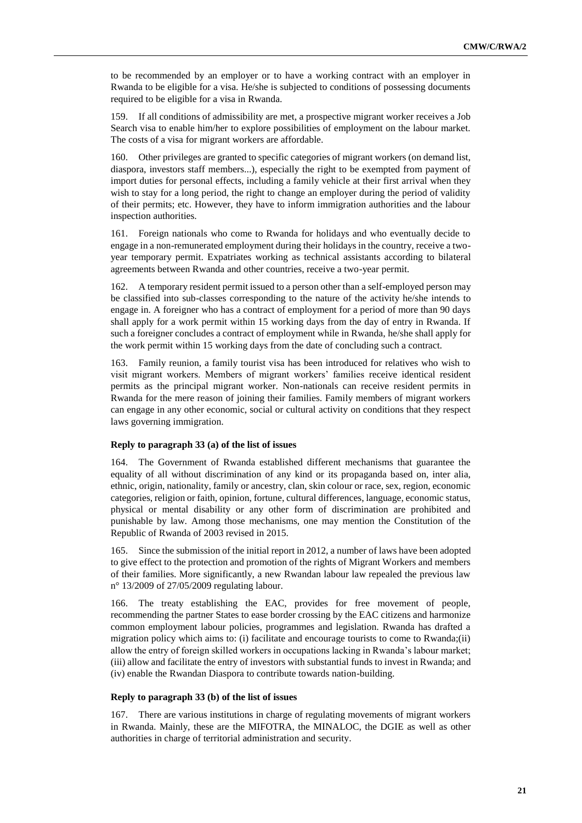to be recommended by an employer or to have a working contract with an employer in Rwanda to be eligible for a visa. He/she is subjected to conditions of possessing documents required to be eligible for a visa in Rwanda.

159. If all conditions of admissibility are met, a prospective migrant worker receives a Job Search visa to enable him/her to explore possibilities of employment on the labour market. The costs of a visa for migrant workers are affordable.

160. Other privileges are granted to specific categories of migrant workers (on demand list, diaspora, investors staff members...), especially the right to be exempted from payment of import duties for personal effects, including a family vehicle at their first arrival when they wish to stay for a long period, the right to change an employer during the period of validity of their permits; etc. However, they have to inform immigration authorities and the labour inspection authorities.

161. Foreign nationals who come to Rwanda for holidays and who eventually decide to engage in a non-remunerated employment during their holidays in the country, receive a twoyear temporary permit. Expatriates working as technical assistants according to bilateral agreements between Rwanda and other countries, receive a two-year permit.

162. A temporary resident permit issued to a person other than a self-employed person may be classified into sub-classes corresponding to the nature of the activity he/she intends to engage in. A foreigner who has a contract of employment for a period of more than 90 days shall apply for a work permit within 15 working days from the day of entry in Rwanda. If such a foreigner concludes a contract of employment while in Rwanda, he/she shall apply for the work permit within 15 working days from the date of concluding such a contract.

163. Family reunion, a family tourist visa has been introduced for relatives who wish to visit migrant workers. Members of migrant workers' families receive identical resident permits as the principal migrant worker. Non-nationals can receive resident permits in Rwanda for the mere reason of joining their families. Family members of migrant workers can engage in any other economic, social or cultural activity on conditions that they respect laws governing immigration.

# **Reply to paragraph 33 (a) of the list of issues**

164. The Government of Rwanda established different mechanisms that guarantee the equality of all without discrimination of any kind or its propaganda based on, inter alia, ethnic, origin, nationality, family or ancestry, clan, skin colour or race, sex, region, economic categories, religion or faith, opinion, fortune, cultural differences, language, economic status, physical or mental disability or any other form of discrimination are prohibited and punishable by law. Among those mechanisms, one may mention the Constitution of the Republic of Rwanda of 2003 revised in 2015.

165. Since the submission of the initial report in 2012, a number of laws have been adopted to give effect to the protection and promotion of the rights of Migrant Workers and members of their families. More significantly, a new Rwandan labour law repealed the previous law n° 13/2009 of 27/05/2009 regulating labour.

166. The treaty establishing the EAC, provides for free movement of people, recommending the partner States to ease border crossing by the EAC citizens and harmonize common employment labour policies, programmes and legislation. Rwanda has drafted a migration policy which aims to: (i) facilitate and encourage tourists to come to Rwanda;(ii) allow the entry of foreign skilled workers in occupations lacking in Rwanda's labour market; (iii) allow and facilitate the entry of investors with substantial funds to invest in Rwanda; and (iv) enable the Rwandan Diaspora to contribute towards nation-building.

#### **Reply to paragraph 33 (b) of the list of issues**

167. There are various institutions in charge of regulating movements of migrant workers in Rwanda. Mainly, these are the MIFOTRA, the MINALOC, the DGIE as well as other authorities in charge of territorial administration and security.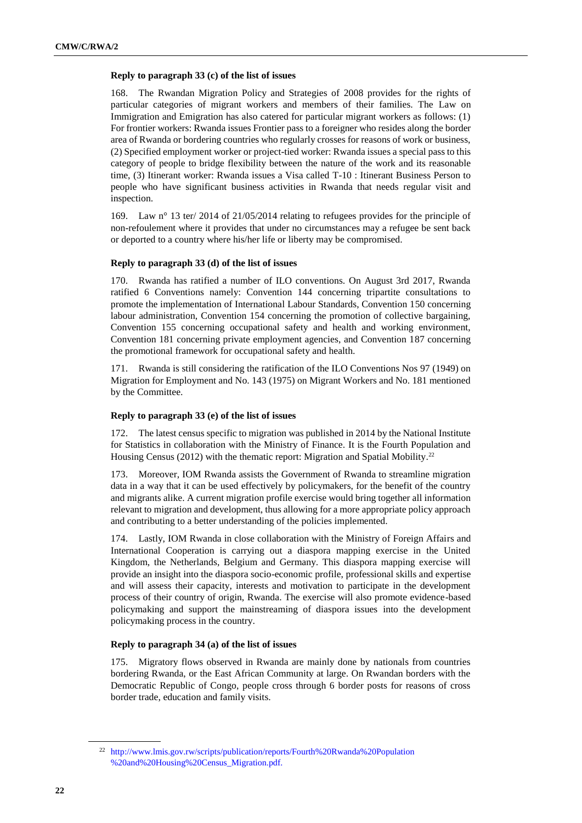#### **Reply to paragraph 33 (c) of the list of issues**

168. The Rwandan Migration Policy and Strategies of 2008 provides for the rights of particular categories of migrant workers and members of their families. The Law on Immigration and Emigration has also catered for particular migrant workers as follows: (1) For frontier workers: Rwanda issues Frontier pass to a foreigner who resides along the border area of Rwanda or bordering countries who regularly crosses for reasons of work or business, (2) Specified employment worker or project-tied worker: Rwanda issues a special pass to this category of people to bridge flexibility between the nature of the work and its reasonable time, (3) Itinerant worker: Rwanda issues a Visa called T-10 : Itinerant Business Person to people who have significant business activities in Rwanda that needs regular visit and inspection.

169. Law n° 13 ter/ 2014 of 21/05/2014 relating to refugees provides for the principle of non-refoulement where it provides that under no circumstances may a refugee be sent back or deported to a country where his/her life or liberty may be compromised.

#### **Reply to paragraph 33 (d) of the list of issues**

170. Rwanda has ratified a number of ILO conventions. On August 3rd 2017, Rwanda ratified 6 Conventions namely: Convention 144 concerning tripartite consultations to promote the implementation of International Labour Standards, Convention 150 concerning labour administration, Convention 154 concerning the promotion of collective bargaining, Convention 155 concerning occupational safety and health and working environment, Convention 181 concerning private employment agencies, and Convention 187 concerning the promotional framework for occupational safety and health.

171. Rwanda is still considering the ratification of the ILO Conventions Nos 97 (1949) on Migration for Employment and No. 143 (1975) on Migrant Workers and No. 181 mentioned by the Committee.

#### **Reply to paragraph 33 (e) of the list of issues**

172. The latest census specific to migration was published in 2014 by the National Institute for Statistics in collaboration with the Ministry of Finance. It is the Fourth Population and Housing Census (2012) with the thematic report: Migration and Spatial Mobility.<sup>22</sup>

173. Moreover, IOM Rwanda assists the Government of Rwanda to streamline migration data in a way that it can be used effectively by policymakers, for the benefit of the country and migrants alike. A current migration profile exercise would bring together all information relevant to migration and development, thus allowing for a more appropriate policy approach and contributing to a better understanding of the policies implemented.

174. Lastly, IOM Rwanda in close collaboration with the Ministry of Foreign Affairs and International Cooperation is carrying out a diaspora mapping exercise in the United Kingdom, the Netherlands, Belgium and Germany. This diaspora mapping exercise will provide an insight into the diaspora socio-economic profile, professional skills and expertise and will assess their capacity, interests and motivation to participate in the development process of their country of origin, Rwanda. The exercise will also promote evidence-based policymaking and support the mainstreaming of diaspora issues into the development policymaking process in the country.

#### **Reply to paragraph 34 (a) of the list of issues**

175. Migratory flows observed in Rwanda are mainly done by nationals from countries bordering Rwanda, or the East African Community at large. On Rwandan borders with the Democratic Republic of Congo, people cross through 6 border posts for reasons of cross border trade, education and family visits.

<sup>22</sup> [http://www.lmis.gov.rw/scripts/publication/reports/Fourth%20Rwanda%20Population](http://www.lmis.gov.rw/scripts/publication/reports/Fourth%20Rwanda%20Population%20and%20Housing%20Census_Migration.pdf) [%20and%20Housing%20Census\\_Migration.pdf.](http://www.lmis.gov.rw/scripts/publication/reports/Fourth%20Rwanda%20Population%20and%20Housing%20Census_Migration.pdf)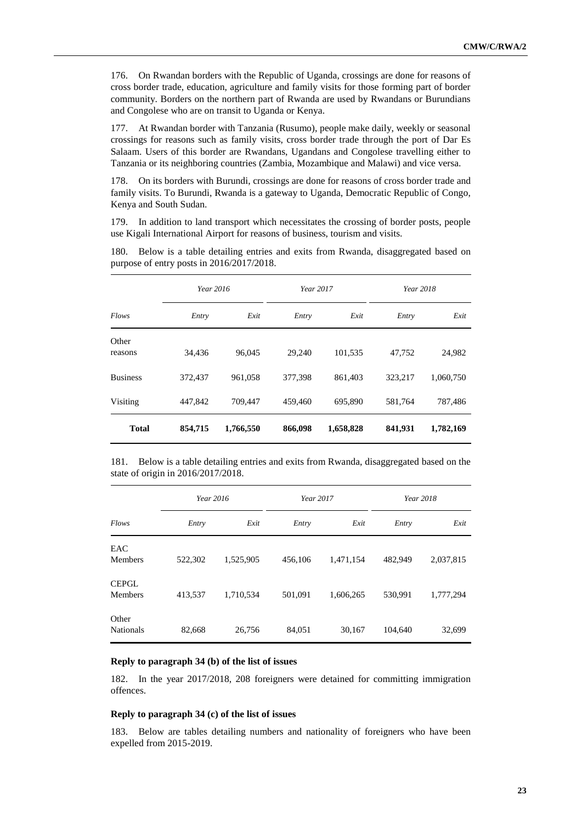176. On Rwandan borders with the Republic of Uganda, crossings are done for reasons of cross border trade, education, agriculture and family visits for those forming part of border community. Borders on the northern part of Rwanda are used by Rwandans or Burundians and Congolese who are on transit to Uganda or Kenya.

177. At Rwandan border with Tanzania (Rusumo), people make daily, weekly or seasonal crossings for reasons such as family visits, cross border trade through the port of Dar Es Salaam. Users of this border are Rwandans, Ugandans and Congolese travelling either to Tanzania or its neighboring countries (Zambia, Mozambique and Malawi) and vice versa.

178. On its borders with Burundi, crossings are done for reasons of cross border trade and family visits. To Burundi, Rwanda is a gateway to Uganda, Democratic Republic of Congo, Kenya and South Sudan.

179. In addition to land transport which necessitates the crossing of border posts, people use Kigali International Airport for reasons of business, tourism and visits.

180. Below is a table detailing entries and exits from Rwanda, disaggregated based on purpose of entry posts in 2016/2017/2018.

|                  | Year 2016 |           | Year 2017 |           | Year 2018 |           |
|------------------|-----------|-----------|-----------|-----------|-----------|-----------|
| Flows            | Entry     | Exit      | Entry     | Exit      | Entry     | Exit      |
| Other<br>reasons | 34,436    | 96,045    | 29,240    | 101,535   | 47,752    | 24,982    |
| <b>Business</b>  | 372,437   | 961.058   | 377.398   | 861.403   | 323.217   | 1.060.750 |
| Visiting         | 447,842   | 709,447   | 459,460   | 695,890   | 581,764   | 787,486   |
| <b>Total</b>     | 854,715   | 1,766,550 | 866,098   | 1,658,828 | 841,931   | 1,782,169 |

181. Below is a table detailing entries and exits from Rwanda, disaggregated based on the state of origin in 2016/2017/2018.

|                                | Year 2016 |           | Year 2017 |           |         | Year 2018 |
|--------------------------------|-----------|-----------|-----------|-----------|---------|-----------|
| Flows                          | Entry     | Exit      | Entry     | Exit      | Entry   | Exit      |
| EAC<br><b>Members</b>          | 522,302   | 1,525,905 | 456,106   | 1,471,154 | 482,949 | 2,037,815 |
| <b>CEPGL</b><br><b>Members</b> | 413,537   | 1,710,534 | 501,091   | 1,606,265 | 530.991 | 1,777,294 |
| Other<br><b>Nationals</b>      | 82,668    | 26,756    | 84,051    | 30,167    | 104,640 | 32,699    |

#### **Reply to paragraph 34 (b) of the list of issues**

182. In the year 2017/2018, 208 foreigners were detained for committing immigration offences.

## **Reply to paragraph 34 (c) of the list of issues**

183. Below are tables detailing numbers and nationality of foreigners who have been expelled from 2015-2019.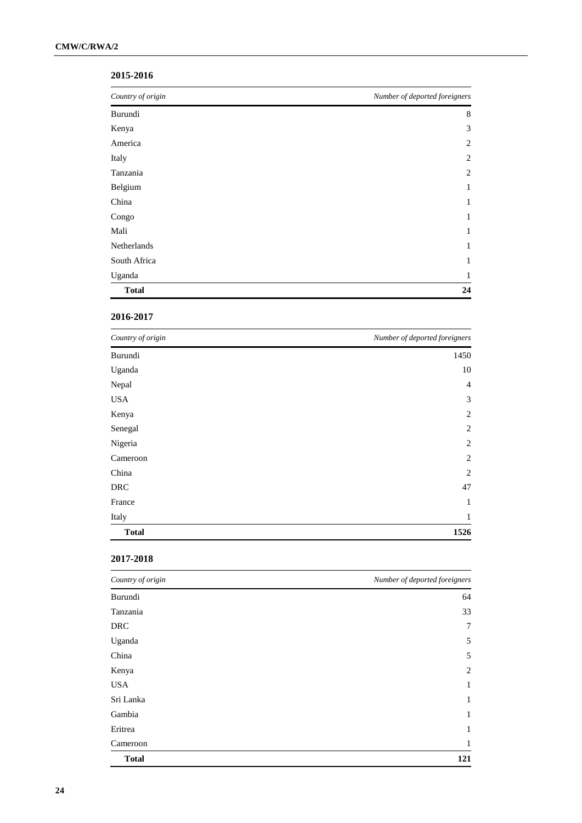# **2015-2016**

| Country of origin | Number of deported foreigners |
|-------------------|-------------------------------|
| Burundi           | 8                             |
| Kenya             | 3                             |
| America           | 2                             |
| Italy             | $\overline{c}$                |
| Tanzania          | $\overline{2}$                |
| Belgium           | 1                             |
| China             | 1                             |
| Congo             | 1                             |
| Mali              | 1                             |
| Netherlands       | 1                             |
| South Africa      | 1                             |
| Uganda            | 1                             |
| <b>Total</b>      | 24                            |

# **2016-2017**

| Country of origin | Number of deported foreigners |
|-------------------|-------------------------------|
| Burundi           | 1450                          |
| Uganda            | 10                            |
| Nepal             | 4                             |
| <b>USA</b>        | 3                             |
| Kenya             | $\overline{2}$                |
| Senegal           | $\mathbf{2}$                  |
| Nigeria           | $\mathbf{2}$                  |
| Cameroon          | $\overline{2}$                |
| China             | $\overline{2}$                |
| <b>DRC</b>        | 47                            |
| France            | $\mathbf{1}$                  |
| Italy             | $\mathbf{1}$                  |
| <b>Total</b>      | 1526                          |

# **2017-2018**

| Country of origin | Number of deported foreigners |
|-------------------|-------------------------------|
| Burundi           | 64                            |
| Tanzania          | 33                            |
| <b>DRC</b>        | 7                             |
| Uganda            | 5                             |
| China             | 5                             |
| Kenya             | $\overline{2}$                |
| <b>USA</b>        | 1                             |
| Sri Lanka         | $\mathbf{1}$                  |
| Gambia            | $\mathbf{1}$                  |
| Eritrea           | 1                             |
| Cameroon          | 1                             |
| <b>Total</b>      | 121                           |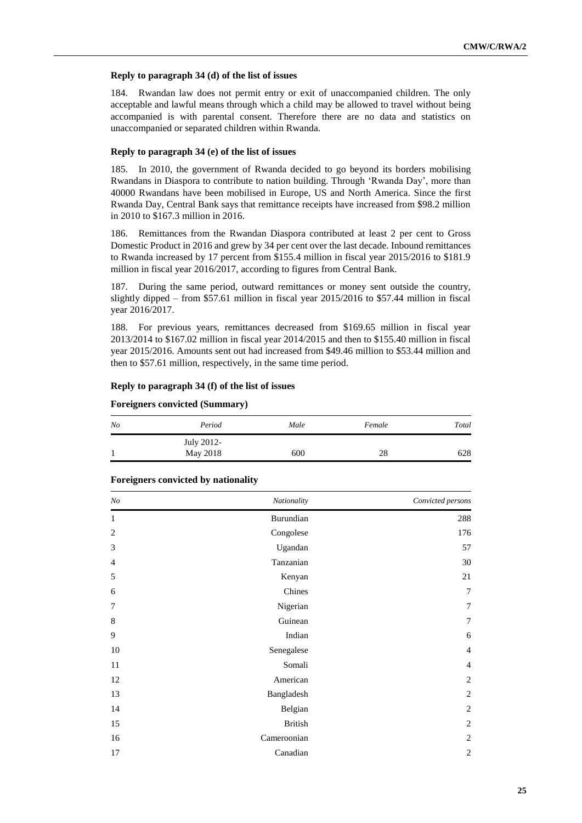# **Reply to paragraph 34 (d) of the list of issues**

184. Rwandan law does not permit entry or exit of unaccompanied children. The only acceptable and lawful means through which a child may be allowed to travel without being accompanied is with parental consent. Therefore there are no data and statistics on unaccompanied or separated children within Rwanda.

# **Reply to paragraph 34 (e) of the list of issues**

185. In 2010, the government of Rwanda decided to go beyond its borders mobilising Rwandans in Diaspora to contribute to nation building. Through ['Rwanda Day'](https://twitter.com/hashtag/RwandaDay2017?src=hash), more than 40000 Rwandans have been mobilised in Europe, US and North America. Since the first Rwanda Day, Central Bank says that remittance receipts have increased from \$98.2 million in 2010 to \$167.3 million in 2016.

186. Remittances from the Rwandan Diaspora contributed at least 2 per cent to Gross Domestic Product in 2016 and grew by 34 per cent over the last decade. Inbound remittances to Rwanda increased by 17 percent from \$155.4 million in fiscal year 2015/2016 to \$181.9 million in fiscal year 2016/2017, according to figures from Central Bank.

187. During the same period, outward remittances or money sent outside the country, slightly dipped – from \$57.61 million in fiscal year 2015/2016 to \$57.44 million in fiscal year 2016/2017.

188. For previous years, remittances decreased from \$169.65 million in fiscal year 2013/2014 to \$167.02 million in fiscal year 2014/2015 and then to \$155.40 million in fiscal year 2015/2016. Amounts sent out had increased from \$49.46 million to \$53.44 million and then to \$57.61 million, respectively, in the same time period.

#### **Reply to paragraph 34 (f) of the list of issues**

# **Foreigners convicted (Summary)**

| $N_{O}$ | Period     | Male | Female | Total |
|---------|------------|------|--------|-------|
|         | July 2012- |      |        |       |
|         | May 2018   | 600  | 28     | 628   |

| N <sub>O</sub> | Nationality    | Convicted persons |
|----------------|----------------|-------------------|
| 1              | Burundian      | 288               |
| $\overline{2}$ | Congolese      | 176               |
| 3              | Ugandan        | 57                |
| 4              | Tanzanian      | 30                |
| 5              | Kenyan         | 21                |
| 6              | Chines         | $\overline{7}$    |
| 7              | Nigerian       | $\overline{7}$    |
| 8              | Guinean        | 7                 |
| 9              | Indian         | 6                 |
| 10             | Senegalese     | $\overline{4}$    |
| 11             | Somali         | $\overline{4}$    |
| 12             | American       | $\overline{c}$    |
| 13             | Bangladesh     | $\overline{2}$    |
| 14             | Belgian        | $\overline{c}$    |
| 15             | <b>British</b> | $\overline{2}$    |
| 16             | Cameroonian    | $\mathbf{2}$      |
| 17             | Canadian       | $\sqrt{2}$        |

#### **Foreigners convicted by nationality**